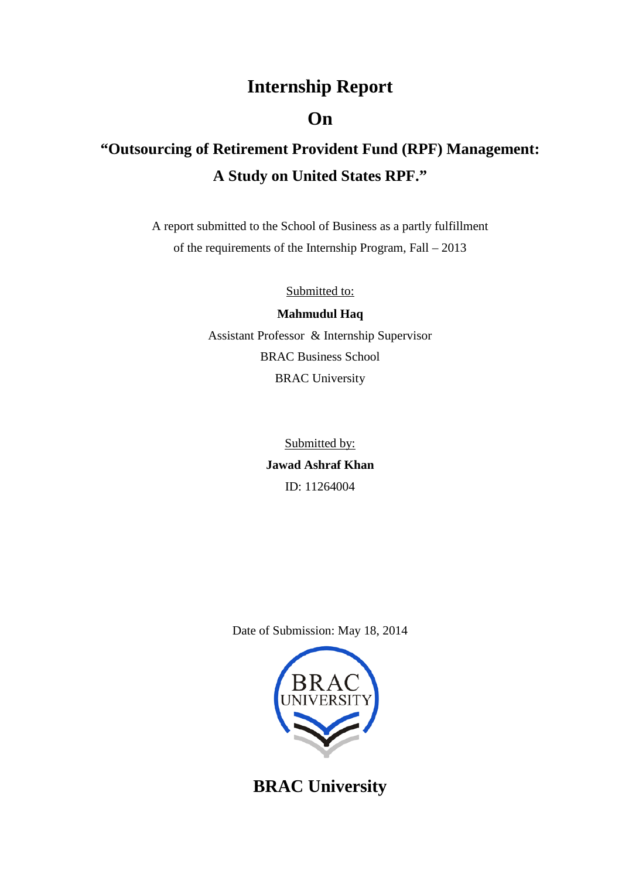## **Internship Report**

### **On**

# **"Outsourcing of Retirement Provident Fund (RPF) Management: A Study on United States RPF."**

A report submitted to the School of Business as a partly fulfillment of the requirements of the Internship Program, Fall – 2013

Submitted to:

**Mahmudul Haq** Assistant Professor & Internship Supervisor BRAC Business School BRAC University

> **Jawad Ashraf Khan** Submitted by: ID: 11264004

Date of Submission: May 18, 2014



**BRAC University**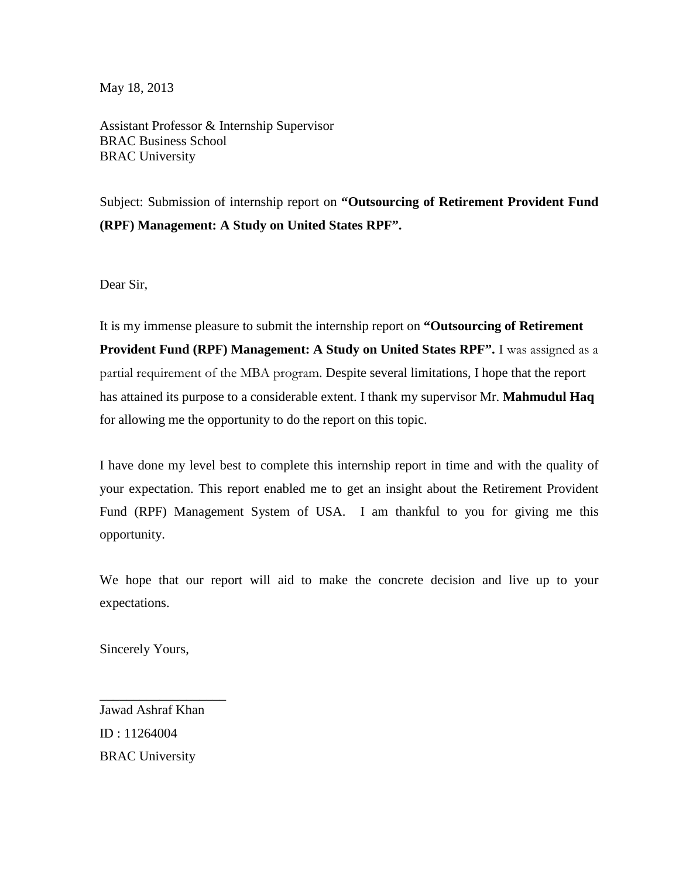May 18, 2013

Assistant Professor & Internship Supervisor BRAC Business School BRAC University

Subject: Submission of internship report on **"Outsourcing of Retirement Provident Fund (RPF) Management: A Study on United States RPF".**

Dear Sir,

It is my immense pleasure to submit the internship report on **"Outsourcing of Retirement Provident Fund (RPF) Management: A Study on United States RPF".** I was assigned as a partial requirement of the MBA program. Despite several limitations, I hope that the report has attained its purpose to a considerable extent. I thank my supervisor Mr. **Mahmudul Haq** for allowing me the opportunity to do the report on this topic.

I have done my level best to complete this internship report in time and with the quality of your expectation. This report enabled me to get an insight about the Retirement Provident Fund (RPF) Management System of USA. I am thankful to you for giving me this opportunity.

We hope that our report will aid to make the concrete decision and live up to your expectations.

Sincerely Yours,

Jawad Ashraf Khan ID : 11264004 BRAC University

\_\_\_\_\_\_\_\_\_\_\_\_\_\_\_\_\_\_\_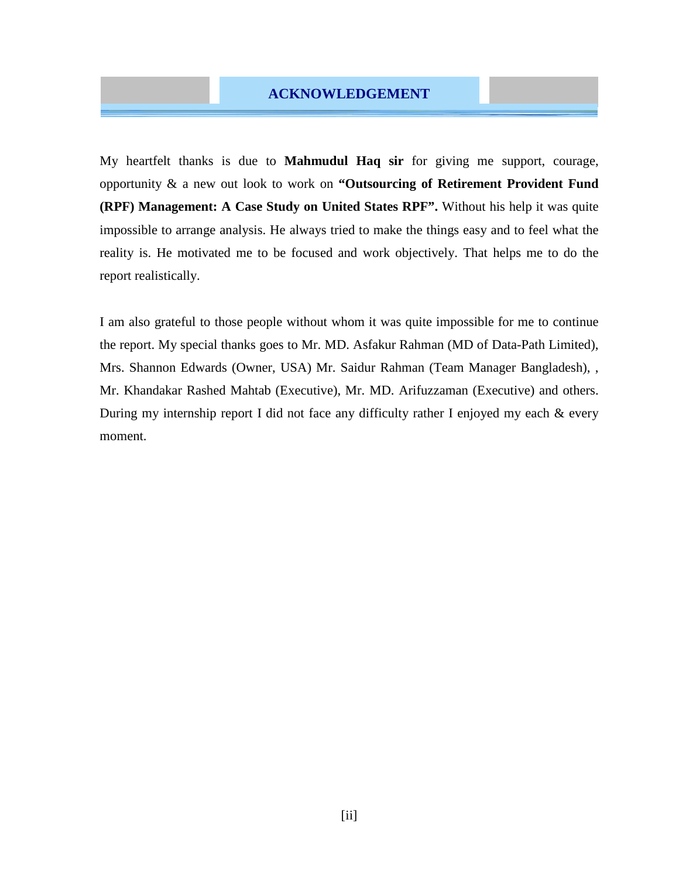### **ACKNOWLEDGEMENT**

My heartfelt thanks is due to **Mahmudul Haq sir** for giving me support, courage, opportunity & a new out look to work on **"Outsourcing of Retirement Provident Fund (RPF) Management: A Case Study on United States RPF".** Without his help it was quite impossible to arrange analysis. He always tried to make the things easy and to feel what the reality is. He motivated me to be focused and work objectively. That helps me to do the report realistically.

I am also grateful to those people without whom it was quite impossible for me to continue the report. My special thanks goes to Mr. MD. Asfakur Rahman (MD of Data-Path Limited), Mrs. Shannon Edwards (Owner, USA) Mr. Saidur Rahman (Team Manager Bangladesh), , Mr. Khandakar Rashed Mahtab (Executive), Mr. MD. Arifuzzaman (Executive) and others. During my internship report I did not face any difficulty rather I enjoyed my each & every moment.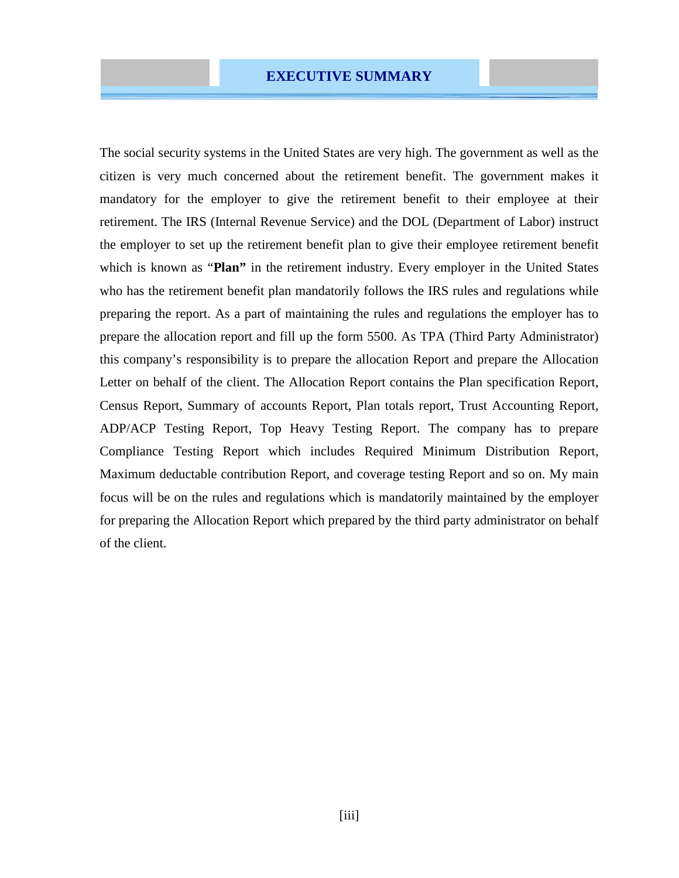### **EXECUTIVE SUMMARY**

The social security systems in the United States are very high. The government as well as the citizen is very much concerned about the retirement benefit. The government makes it mandatory for the employer to give the retirement benefit to their employee at their retirement. The IRS (Internal Revenue Service) and the DOL (Department of Labor) instruct the employer to set up the retirement benefit plan to give their employee retirement benefit which is known as "**Plan**" in the retirement industry. Every employer in the United States who has the retirement benefit plan mandatorily follows the IRS rules and regulations while preparing the report. As a part of maintaining the rules and regulations the employer has to prepare the allocation report and fill up the form 5500. As TPA (Third Party Administrator) this company's responsibility is to prepare the allocation Report and prepare the Allocation Letter on behalf of the client. The Allocation Report contains the Plan specification Report, Census Report, Summary of accounts Report, Plan totals report, Trust Accounting Report, ADP/ACP Testing Report, Top Heavy Testing Report. The company has to prepare Compliance Testing Report which includes Required Minimum Distribution Report, Maximum deductable contribution Report, and coverage testing Report and so on. My main focus will be on the rules and regulations which is mandatorily maintained by the employer for preparing the Allocation Report which prepared by the third party administrator on behalf of the client.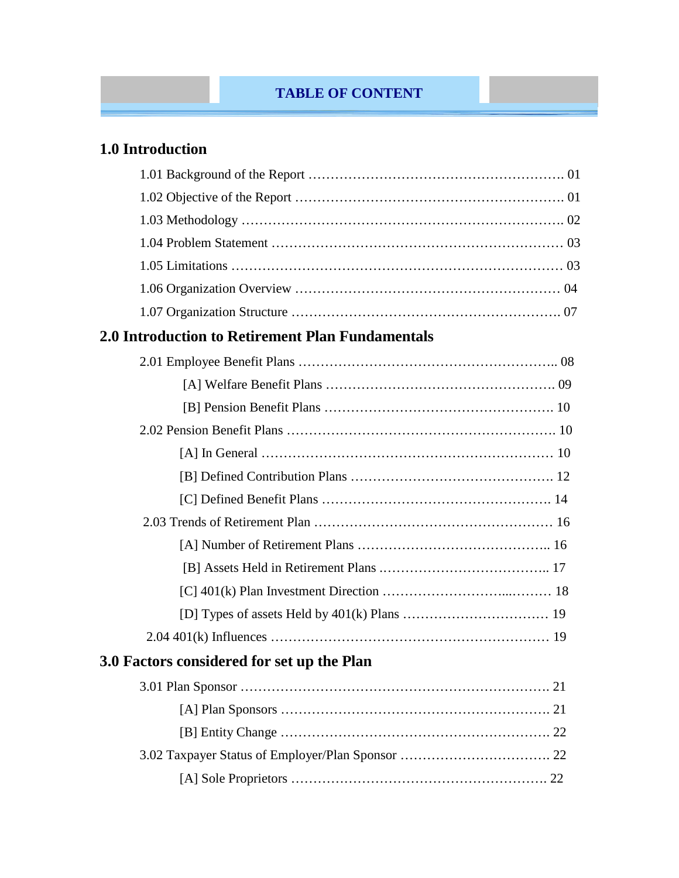### **TABLE OF CONTENT**

### **1.0 Introduction**

### **2.0 Introduction to Retirement Plan Fundamentals**

| 3.0 Factors considered for set up the Plan |  |
|--------------------------------------------|--|
|                                            |  |
|                                            |  |
|                                            |  |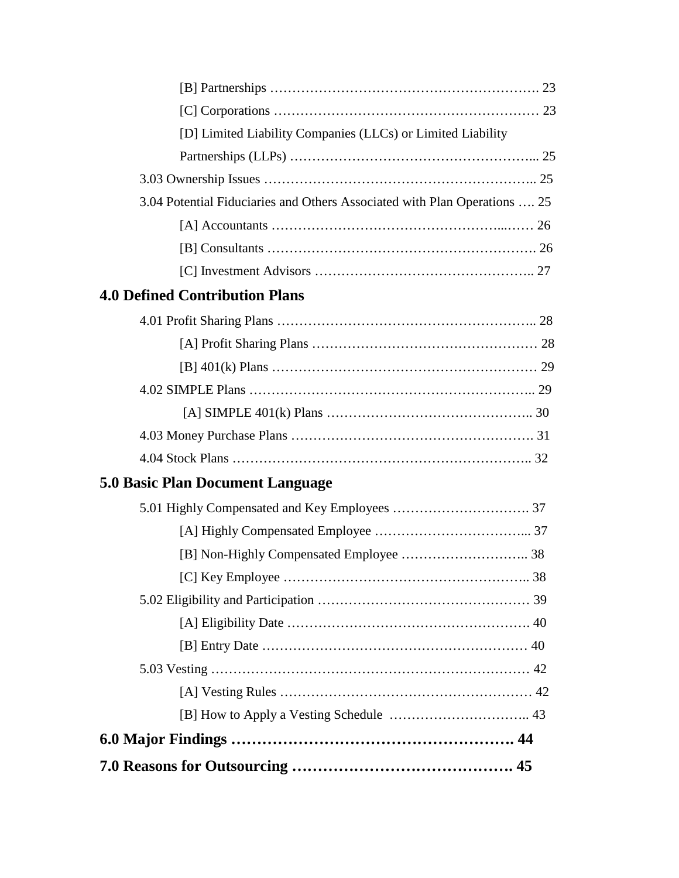| [D] Limited Liability Companies (LLCs) or Limited Liability               |  |
|---------------------------------------------------------------------------|--|
|                                                                           |  |
|                                                                           |  |
| 3.04 Potential Fiduciaries and Others Associated with Plan Operations  25 |  |
|                                                                           |  |
|                                                                           |  |
|                                                                           |  |
| <b>4.0 Defined Contribution Plans</b>                                     |  |
|                                                                           |  |
|                                                                           |  |
|                                                                           |  |
|                                                                           |  |
|                                                                           |  |
|                                                                           |  |
|                                                                           |  |
| <b>5.0 Basic Plan Document Language</b>                                   |  |
|                                                                           |  |
|                                                                           |  |
|                                                                           |  |
|                                                                           |  |
|                                                                           |  |
|                                                                           |  |
|                                                                           |  |
|                                                                           |  |
|                                                                           |  |
|                                                                           |  |
|                                                                           |  |
|                                                                           |  |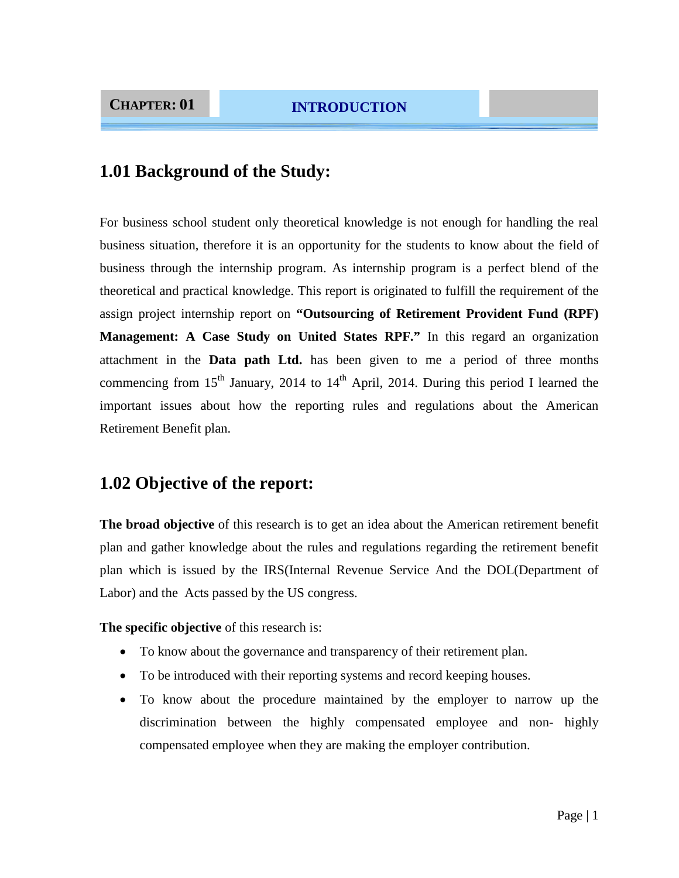### **1.01 Background of the Study:**

For business school student only theoretical knowledge is not enough for handling the real business situation, therefore it is an opportunity for the students to know about the field of business through the internship program. As internship program is a perfect blend of the theoretical and practical knowledge. This report is originated to fulfill the requirement of the assign project internship report on **"Outsourcing of Retirement Provident Fund (RPF) Management: A Case Study on United States RPF."** In this regard an organization attachment in the **Data path Ltd.** has been given to me a period of three months commencing from  $15<sup>th</sup>$  January, 2014 to  $14<sup>th</sup>$  April, 2014. During this period I learned the important issues about how the reporting rules and regulations about the American Retirement Benefit plan.

### **1.02 Objective of the report:**

**The broad objective** of this research is to get an idea about the American retirement benefit plan and gather knowledge about the rules and regulations regarding the retirement benefit plan which is issued by the IRS(Internal Revenue Service And the DOL(Department of Labor) and the Acts passed by the US congress.

**The specific objective** of this research is:

- To know about the governance and transparency of their retirement plan.
- To be introduced with their reporting systems and record keeping houses.
- To know about the procedure maintained by the employer to narrow up the discrimination between the highly compensated employee and non- highly compensated employee when they are making the employer contribution.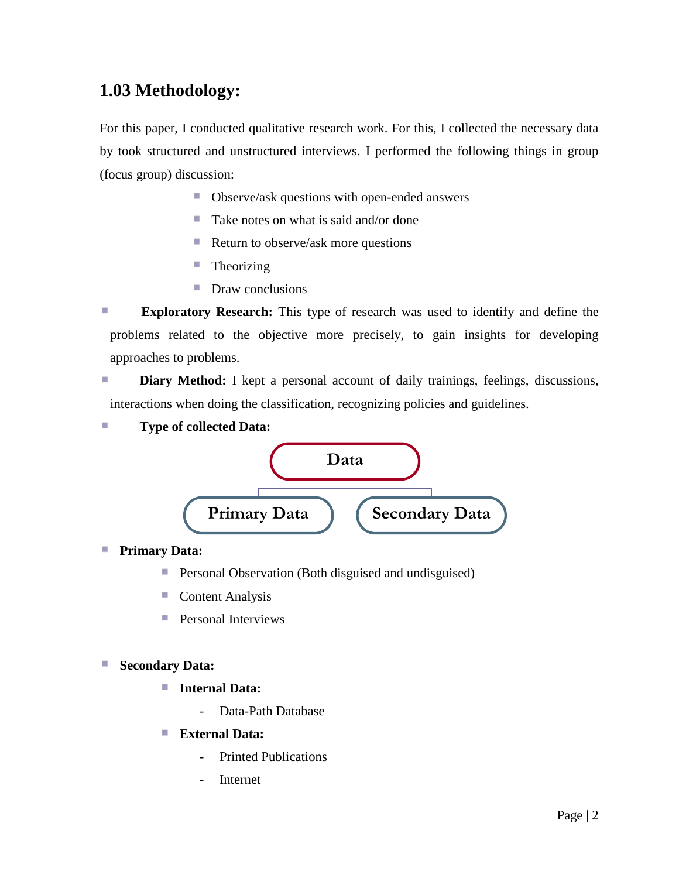### **1.03 Methodology:**

For this paper, I conducted qualitative research work. For this, I collected the necessary data by took structured and unstructured interviews. I performed the following things in group (focus group) discussion:

- Observe/ask questions with open-ended answers
- Take notes on what is said and/or done
- Return to observe/ask more questions
- $\blacksquare$  Theorizing
- **Draw conclusions**
- r. **Exploratory Research:** This type of research was used to identify and define the problems related to the objective more precisely, to gain insights for developing approaches to problems.

r. **Diary Method:** I kept a personal account of daily trainings, feelings, discussions, interactions when doing the classification, recognizing policies and guidelines.

r. **Type of collected Data:** 



#### T, **Primary Data:**

- P. Personal Observation (Both disguised and undisguised)
- **Content Analysis**
- **Personal Interviews**

### **Secondary Data:**

- × **Internal Data:**
	- Data-Path Database
- **External Data:** ×
	- Printed Publications
	- Internet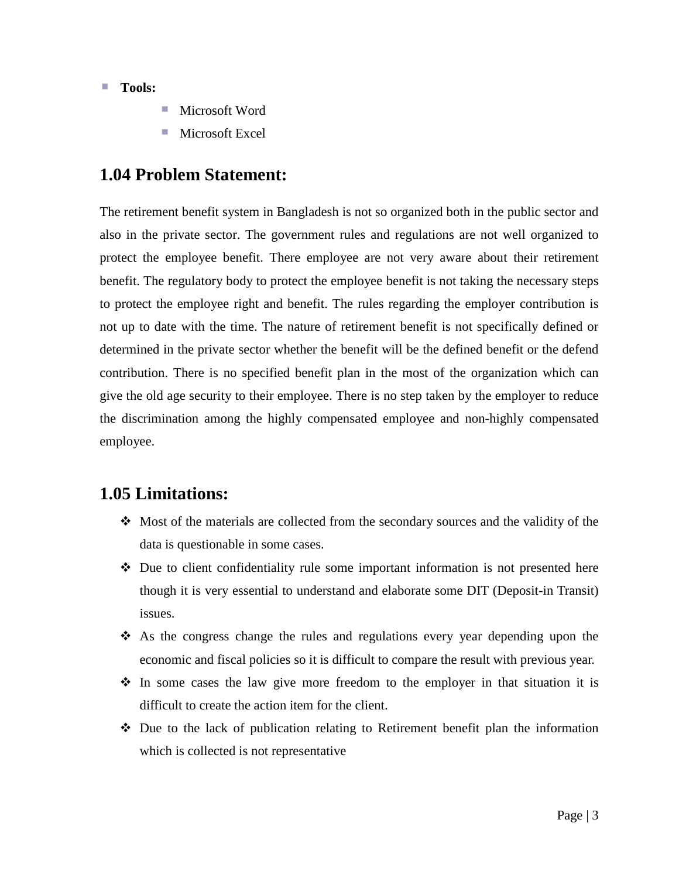### ■ **Tools:**

- Microsoft Word
- Microsoft Excel

### **1.04 Problem Statement:**

The retirement benefit system in Bangladesh is not so organized both in the public sector and also in the private sector. The government rules and regulations are not well organized to protect the employee benefit. There employee are not very aware about their retirement benefit. The regulatory body to protect the employee benefit is not taking the necessary steps to protect the employee right and benefit. The rules regarding the employer contribution is not up to date with the time. The nature of retirement benefit is not specifically defined or determined in the private sector whether the benefit will be the defined benefit or the defend contribution. There is no specified benefit plan in the most of the organization which can give the old age security to their employee. There is no step taken by the employer to reduce the discrimination among the highly compensated employee and non-highly compensated employee.

### **1.05 Limitations:**

- $\cdot$  Most of the materials are collected from the secondary sources and the validity of the data is questionable in some cases.
- $\div$  Due to client confidentiality rule some important information is not presented here though it is very essential to understand and elaborate some DIT (Deposit-in Transit) issues.
- $\hat{\mathbf{\cdot}}$  As the congress change the rules and regulations every year depending upon the economic and fiscal policies so it is difficult to compare the result with previous year.
- $\hat{\cdot}$  In some cases the law give more freedom to the employer in that situation it is difficult to create the action item for the client.
- $\div$  Due to the lack of publication relating to Retirement benefit plan the information which is collected is not representative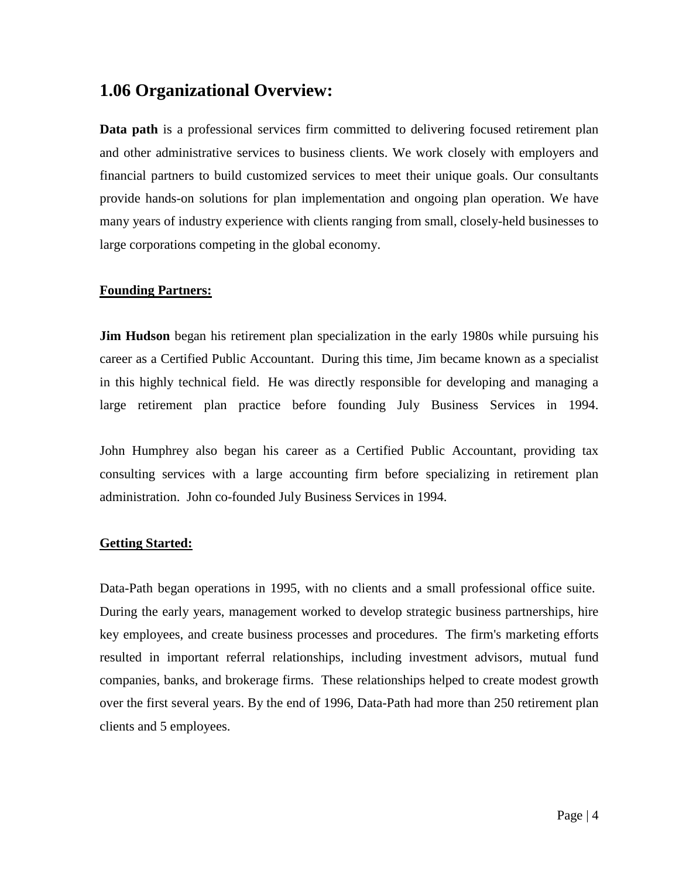### **1.06 Organizational Overview:**

**Data path** is a professional services firm committed to delivering focused retirement plan and other administrative services to business clients. We work closely with employers and financial partners to build customized services to meet their unique goals. Our consultants provide hands-on solutions for plan implementation and ongoing plan operation. We have many years of industry experience with clients ranging from small, closely-held businesses to large corporations competing in the global economy.

### **Founding Partners:**

**[Jim Hudson](http://www.julyservices.com/executiveleadership.aspx#jimbio)** began his retirement plan specialization in the early 1980s while pursuing his career as a Certified Public Accountant. During this time, Jim became known as a specialist in this highly technical field. He was directly responsible for developing and managing a large retirement plan practice before founding July Business Services in 1994.

[John Humphrey a](http://www.julyservices.com/executiveleadership.aspx#johnbio)lso began his career as a Certified Public Accountant, providing tax consulting services with a large accounting firm before specializing in retirement plan administration. John co-founded July Business Services in 1994.

### **Getting Started:**

Data-Path began operations in 1995, with no clients and a small professional office suite. During the early years, management worked to develop strategic business partnerships, hire key employees, and create business processes and procedures. The firm's marketing efforts resulted in important referral relationships, including investment advisors, mutual fund companies, banks, and brokerage firms. These relationships helped to create modest growth over the first several years. By the end of 1996, Data-Path had more than 250 retirement plan clients and 5 employees.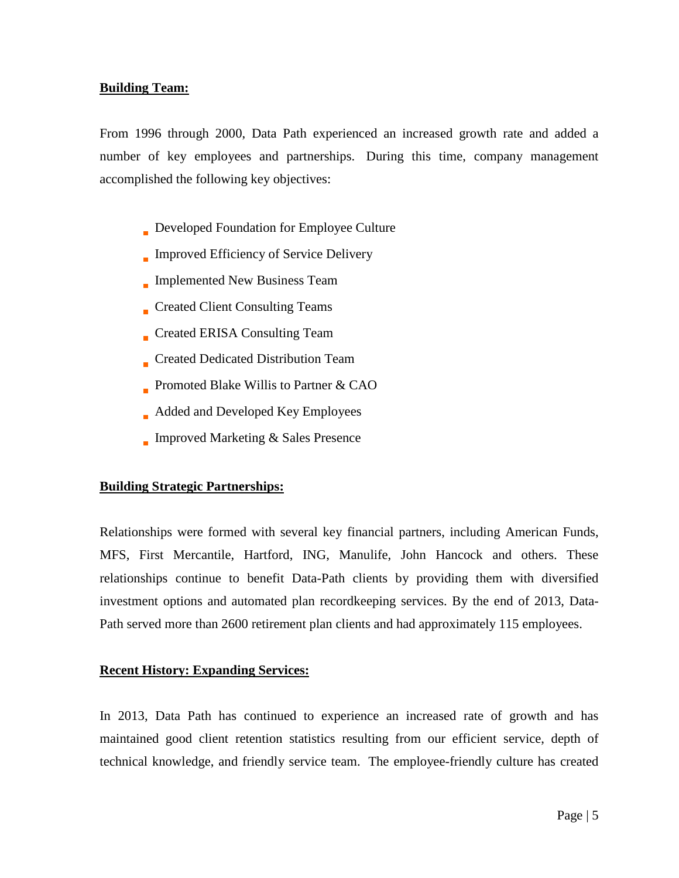### **Building Team:**

From 1996 through 2000, Data Path experienced an increased growth rate and added a number of key employees and partnerships. During this time, company management accomplished the following key objectives:

- Developed Foundation for Employee Culture
- Improved Efficiency of Service Delivery
- Implemented New Business Team
- Created Client Consulting Teams
- Created ERISA Consulting Team
- Created Dedicated Distribution Team
- Promoted [Blake Willis t](http://www.julyservices.com/executiveleadership.aspx#blakebio)o Partner & CAO
- Added and Developed Key Employees
- Improved Marketing & Sales Presence

### **Building Strategic Partnerships:**

Relationships were formed with several key financial partners, including American Funds, MFS, First Mercantile, Hartford, ING, Manulife, John Hancock and others. These relationships continue to benefit Data-Path clients by providing them with diversified investment options and automated plan recordkeeping services. By the end of 2013, Data-Path served more than 2600 retirement plan clients and had approximately 115 employees.

### **Recent History: Expanding Services:**

In 2013, Data Path has continued to experience an increased rate of growth and has maintained good client retention statistics resulting from our efficient service, depth of technical knowledge, and friendly service team. The employee-friendly culture has created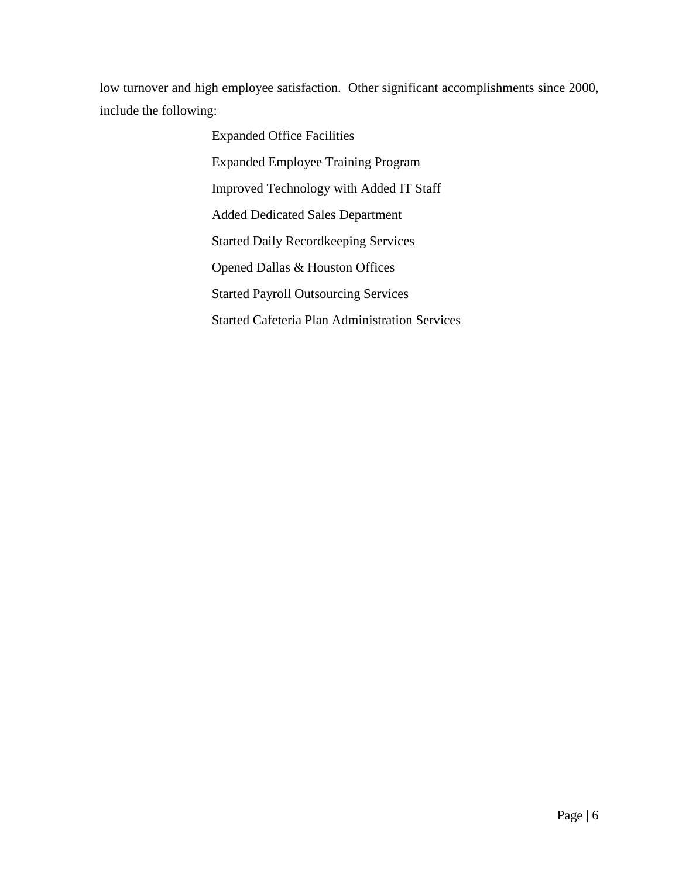low turnover and high employee satisfaction. Other significant accomplishments since 2000, include the following:

> Expanded Office Facilities Expanded Employee Training Program Improved Technology with Added IT Staff Added Dedicated Sales Department Started Daily Recordkeeping Services Opened Dallas & Houston Offices Started Payroll Outsourcing Services Started Cafeteria Plan Administration Services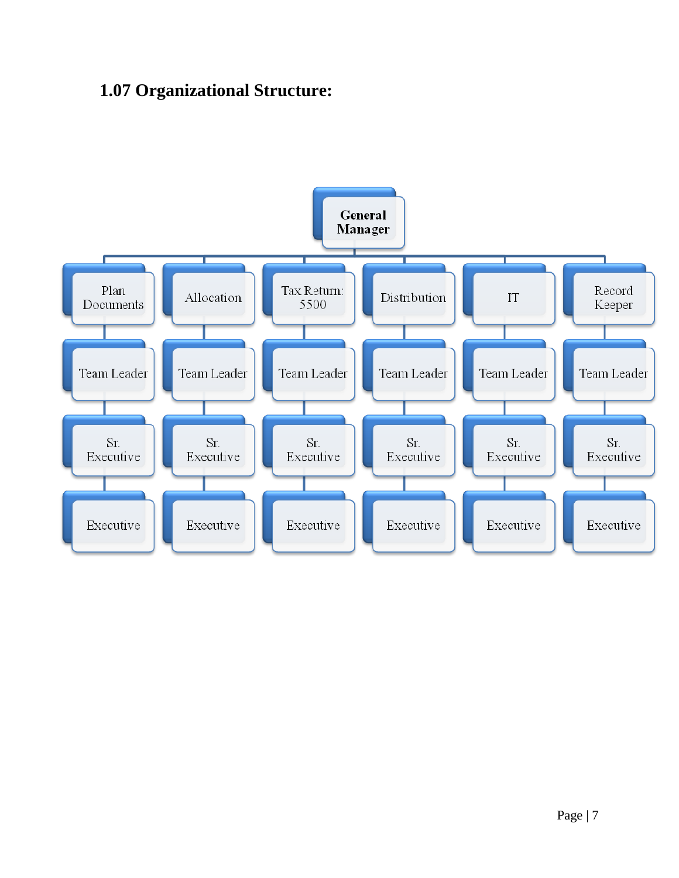# **1.07 Organizational Structure:**

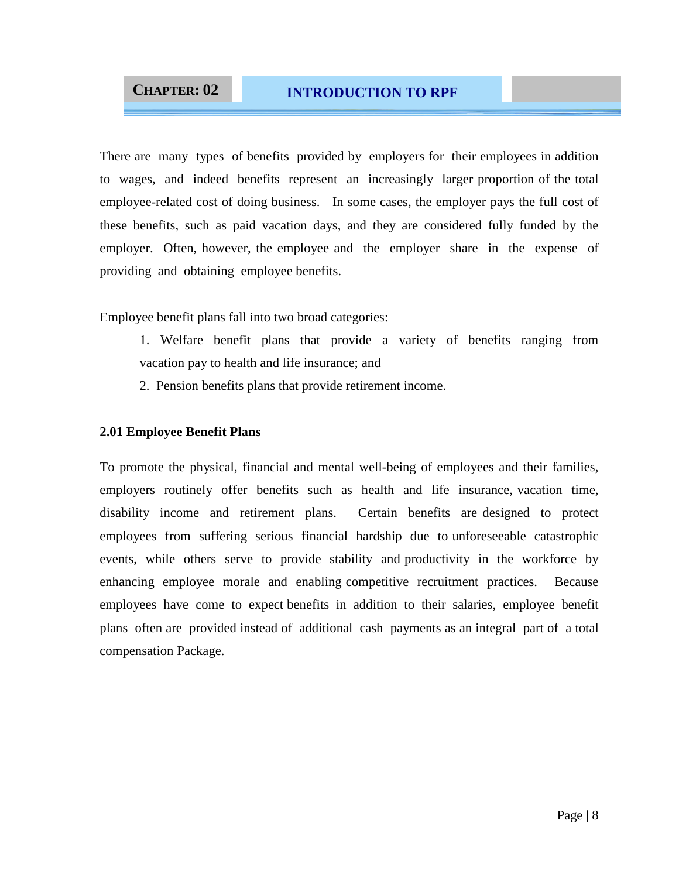There are many types of benefits provided by employers for their employees in addition to wages, and indeed benefits represent an increasingly larger proportion of the total employee-related cost of doing business. In some cases, the employer pays the full cost of these benefits, such as paid vacation days, and they are considered fully funded by the employer. Often, however, the employee and the employer share in the expense of providing and obtaining employee benefits.

Employee benefit plans fall into two broad categories:

- 1. Welfare benefit plans that provide a variety of benefits ranging from vacation pay to health and life insurance; and
- 2. Pension benefits plans that provide retirement income.

### **2.01 Employee Benefit Plans**

To promote the physical, financial and mental well-being of employees and their families, employers routinely offer benefits such as health and life insurance, vacation time, disability income and retirement plans. Certain benefits are designed to protect employees from suffering serious financial hardship due to unforeseeable catastrophic events, while others serve to provide stability and productivity in the workforce by enhancing employee morale and enabling competitive recruitment practices. Because employees have come to expect benefits in addition to their salaries, employee benefit plans often are provided instead of additional cash payments as an integral part of a total compensation Package.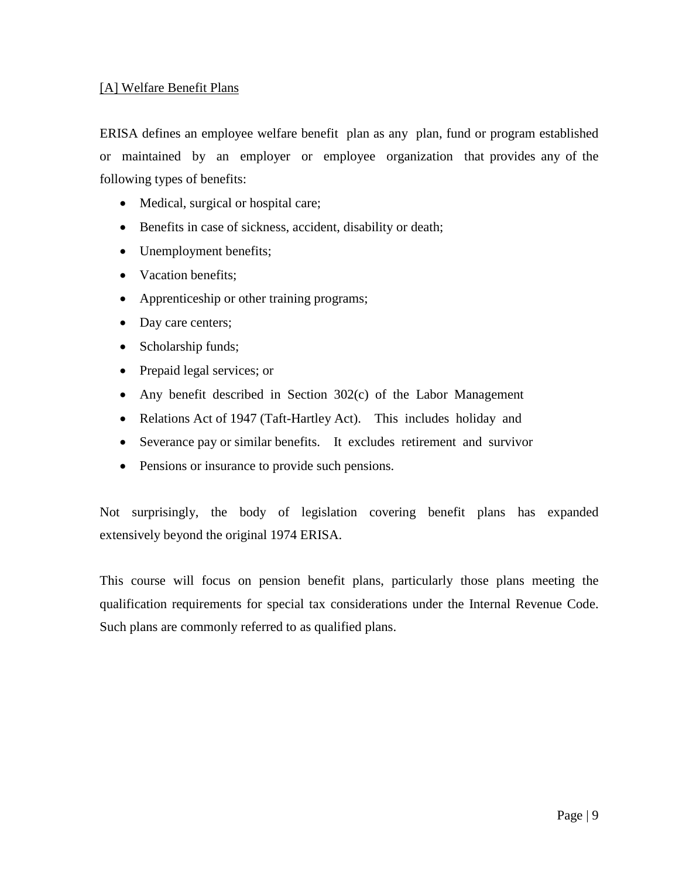### [A] Welfare Benefit Plans

ERISA defines an employee welfare benefit plan as any plan, fund or program established or maintained by an employer or employee organization that provides any of the following types of benefits:

- Medical, surgical or hospital care;
- Benefits in case of sickness, accident, disability or death;
- Unemployment benefits;
- Vacation benefits;
- Apprenticeship or other training programs;
- Day care centers;
- Scholarship funds;
- Prepaid legal services; or
- Any benefit described in Section 302(c) of the Labor Management
- Relations Act of 1947 (Taft-Hartley Act). This includes holiday and
- Severance pay or similar benefits. It excludes retirement and survivor
- Pensions or insurance to provide such pensions.

Not surprisingly, the body of legislation covering benefit plans has expanded extensively beyond the original 1974 ERISA.

This course will focus on pension benefit plans, particularly those plans meeting the qualification requirements for special tax considerations under the Internal Revenue Code. Such plans are commonly referred to as qualified plans.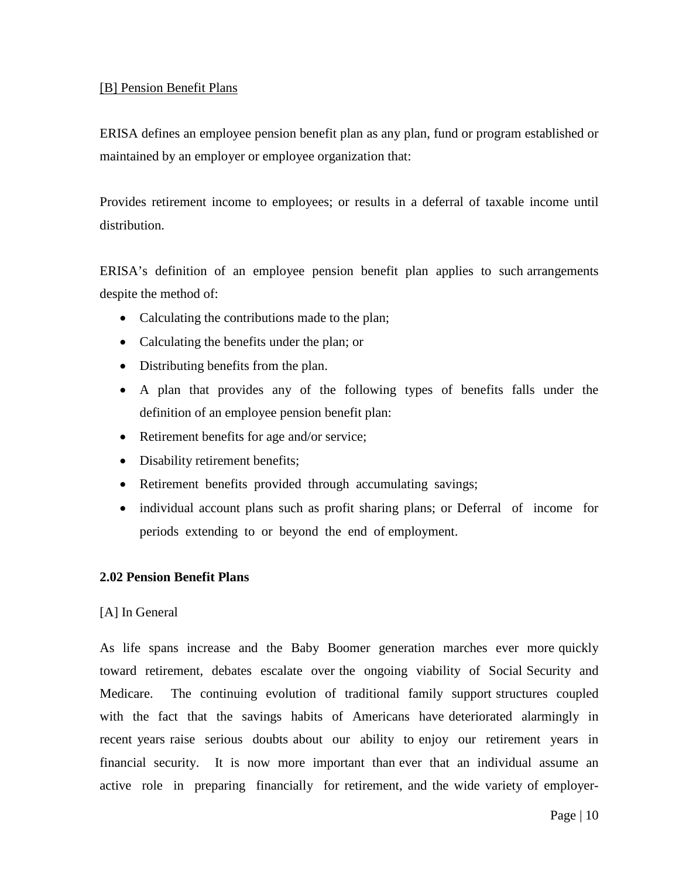### [B] Pension Benefit Plans

ERISA defines an employee pension benefit plan as any plan, fund or program established or maintained by an employer or employee organization that:

Provides retirement income to employees; or results in a deferral of taxable income until distribution.

ERISA's definition of an employee pension benefit plan applies to such arrangements despite the method of:

- Calculating the contributions made to the plan;
- Calculating the benefits under the plan; or
- Distributing benefits from the plan.
- A plan that provides any of the following types of benefits falls under the definition of an employee pension benefit plan:
- Retirement benefits for age and/or service;
- Disability retirement benefits;
- Retirement benefits provided through accumulating savings;
- individual account plans such as profit sharing plans; or Deferral of income for periods extending to or beyond the end of employment.

### **2.02 Pension Benefit Plans**

### [A] In General

As life spans increase and the Baby Boomer generation marches ever more quickly toward retirement, debates escalate over the ongoing viability of Social Security and Medicare. The continuing evolution of traditional family support structures coupled with the fact that the savings habits of Americans have deteriorated alarmingly in recent years raise serious doubts about our ability to enjoy our retirement years in financial security. It is now more important than ever that an individual assume an active role in preparing financially for retirement, and the wide variety of employer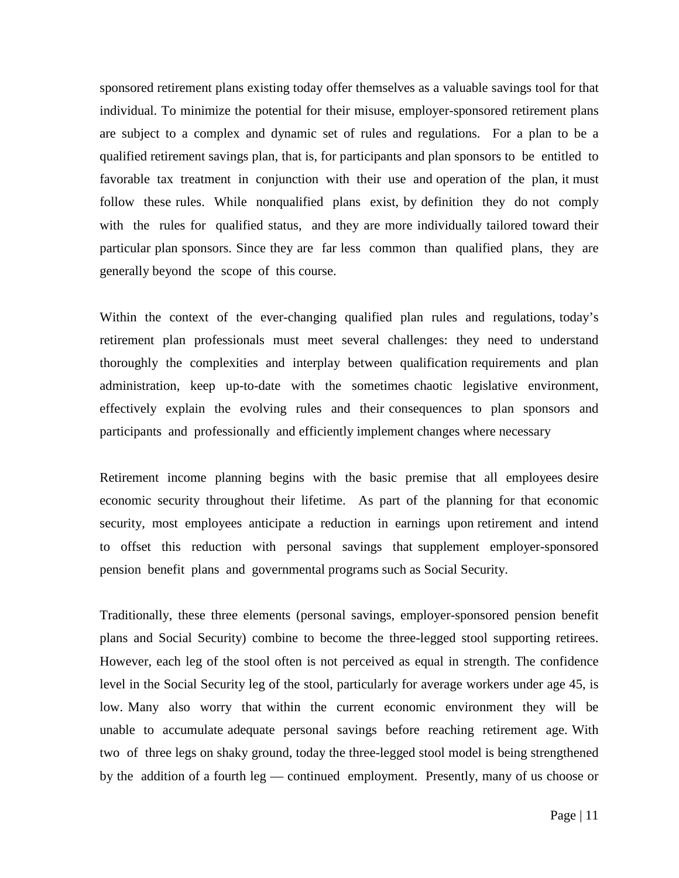sponsored retirement plans existing today offer themselves as a valuable savings tool for that individual. To minimize the potential for their misuse, employer-sponsored retirement plans are subject to a complex and dynamic set of rules and regulations. For a plan to be a qualified retirement savings plan, that is, for participants and plan sponsors to be entitled to favorable tax treatment in conjunction with their use and operation of the plan, it must follow these rules. While nonqualified plans exist, by definition they do not comply with the rules for qualified status, and they are more individually tailored toward their particular plan sponsors. Since they are far less common than qualified plans, they are generally beyond the scope of this course.

Within the context of the ever-changing qualified plan rules and regulations, today's retirement plan professionals must meet several challenges: they need to understand thoroughly the complexities and interplay between qualification requirements and plan administration, keep up-to-date with the sometimes chaotic legislative environment, effectively explain the evolving rules and their consequences to plan sponsors and participants and professionally and efficiently implement changes where necessary

Retirement income planning begins with the basic premise that all employees desire economic security throughout their lifetime. As part of the planning for that economic security, most employees anticipate a reduction in earnings upon retirement and intend to offset this reduction with personal savings that supplement employer-sponsored pension benefit plans and governmental programs such as Social Security.

Traditionally, these three elements (personal savings, employer-sponsored pension benefit plans and Social Security) combine to become the three-legged stool supporting retirees. However, each leg of the stool often is not perceived as equal in strength. The confidence level in the Social Security leg of the stool, particularly for average workers under age 45, is low. Many also worry that within the current economic environment they will be unable to accumulate adequate personal savings before reaching retirement age. With two of three legs on shaky ground, today the three-legged stool model is being strengthened by the addition of a fourth leg — continued employment. Presently, many of us choose or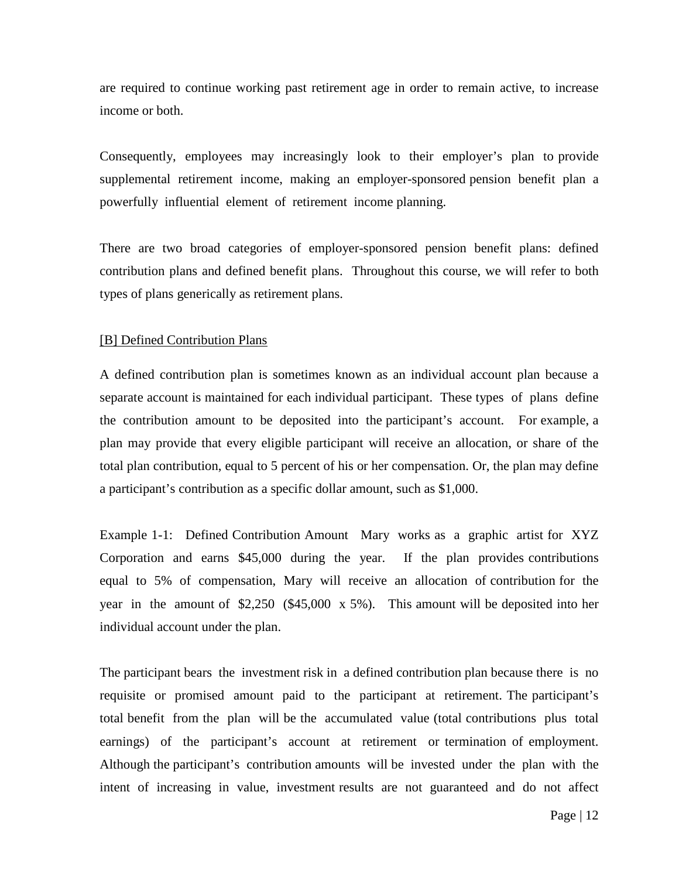are required to continue working past retirement age in order to remain active, to increase income or both.

Consequently, employees may increasingly look to their employer's plan to provide supplemental retirement income, making an employer-sponsored pension benefit plan a powerfully influential element of retirement income planning.

There are two broad categories of employer-sponsored pension benefit plans: defined contribution plans and defined benefit plans. Throughout this course, we will refer to both types of plans generically as retirement plans.

#### [B] Defined Contribution Plans

A defined contribution plan is sometimes known as an individual account plan because a separate account is maintained for each individual participant. These types of plans define the contribution amount to be deposited into the participant's account. For example, a plan may provide that every eligible participant will receive an allocation, or share of the total plan contribution, equal to 5 percent of his or her compensation. Or, the plan may define a participant's contribution as a specific dollar amount, such as \$1,000.

Example 1-1: Defined Contribution Amount Mary works as a graphic artist for XYZ Corporation and earns \$45,000 during the year. If the plan provides contributions equal to 5% of compensation, Mary will receive an allocation of contribution for the year in the amount of \$2,250 (\$45,000 x 5%). This amount will be deposited into her individual account under the plan.

The participant bears the investment risk in a defined contribution plan because there is no requisite or promised amount paid to the participant at retirement. The participant's total benefit from the plan will be the accumulated value (total contributions plus total earnings) of the participant's account at retirement or termination of employment. Although the participant's contribution amounts will be invested under the plan with the intent of increasing in value, investment results are not guaranteed and do not affect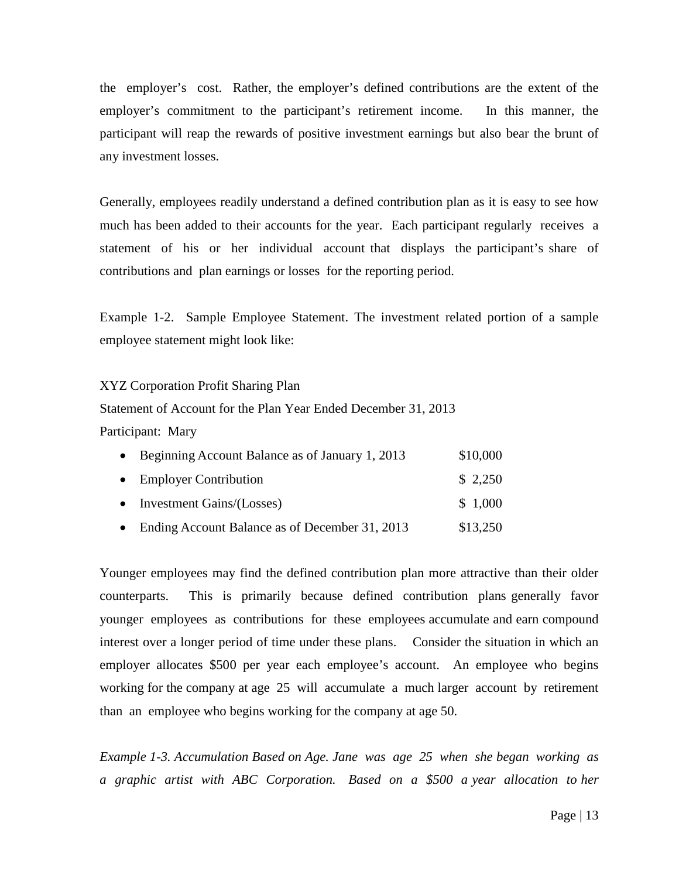the employer's cost. Rather, the employer's defined contributions are the extent of the employer's commitment to the participant's retirement income. In this manner, the participant will reap the rewards of positive investment earnings but also bear the brunt of any investment losses.

Generally, employees readily understand a defined contribution plan as it is easy to see how much has been added to their accounts for the year. Each participant regularly receives a statement of his or her individual account that displays the participant's share of contributions and plan earnings or losses for the reporting period.

Example 1-2. Sample Employee Statement. The investment related portion of a sample employee statement might look like:

### XYZ Corporation Profit Sharing Plan

Statement of Account for the Plan Year Ended December 31, 2013 Participant: Mary

| • Beginning Account Balance as of January 1, 2013 | \$10,000 |
|---------------------------------------------------|----------|
| • Employer Contribution                           | \$2,250  |
| • Investment Gains/(Losses)                       | \$1,000  |
| • Ending Account Balance as of December 31, 2013  | \$13,250 |

Younger employees may find the defined contribution plan more attractive than their older counterparts. This is primarily because defined contribution plans generally favor younger employees as contributions for these employees accumulate and earn compound interest over a longer period of time under these plans. Consider the situation in which an employer allocates \$500 per year each employee's account. An employee who begins working for the company at age 25 will accumulate a much larger account by retirement than an employee who begins working for the company at age 50.

*Example 1-3. Accumulation Based on Age. Jane was age 25 when she began working as a graphic artist with ABC Corporation. Based on a \$500 a year allocation to her*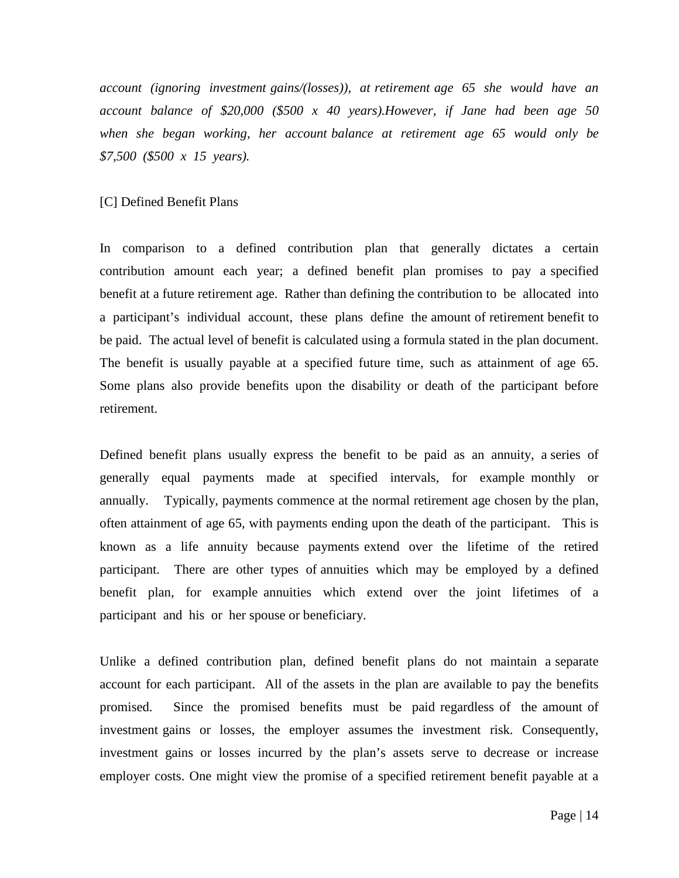*account (ignoring investment gains/(losses)), at retirement age 65 she would have an account balance of \$20,000 (\$500 x 40 years).However, if Jane had been age 50 when she began working, her account balance at retirement age 65 would only be \$7,500 (\$500 x 15 years).* 

#### [C] Defined Benefit Plans

In comparison to a defined contribution plan that generally dictates a certain contribution amount each year; a defined benefit plan promises to pay a specified benefit at a future retirement age. Rather than defining the contribution to be allocated into a participant's individual account, these plans define the amount of retirement benefit to be paid. The actual level of benefit is calculated using a formula stated in the plan document. The benefit is usually payable at a specified future time, such as attainment of age 65. Some plans also provide benefits upon the disability or death of the participant before retirement.

Defined benefit plans usually express the benefit to be paid as an annuity, a series of generally equal payments made at specified intervals, for example monthly or annually. Typically, payments commence at the normal retirement age chosen by the plan, often attainment of age 65, with payments ending upon the death of the participant. This is known as a life annuity because payments extend over the lifetime of the retired participant. There are other types of annuities which may be employed by a defined benefit plan, for example annuities which extend over the joint lifetimes of a participant and his or her spouse or beneficiary.

Unlike a defined contribution plan, defined benefit plans do not maintain a separate account for each participant. All of the assets in the plan are available to pay the benefits promised. Since the promised benefits must be paid regardless of the amount of investment gains or losses, the employer assumes the investment risk. Consequently, investment gains or losses incurred by the plan's assets serve to decrease or increase employer costs. One might view the promise of a specified retirement benefit payable at a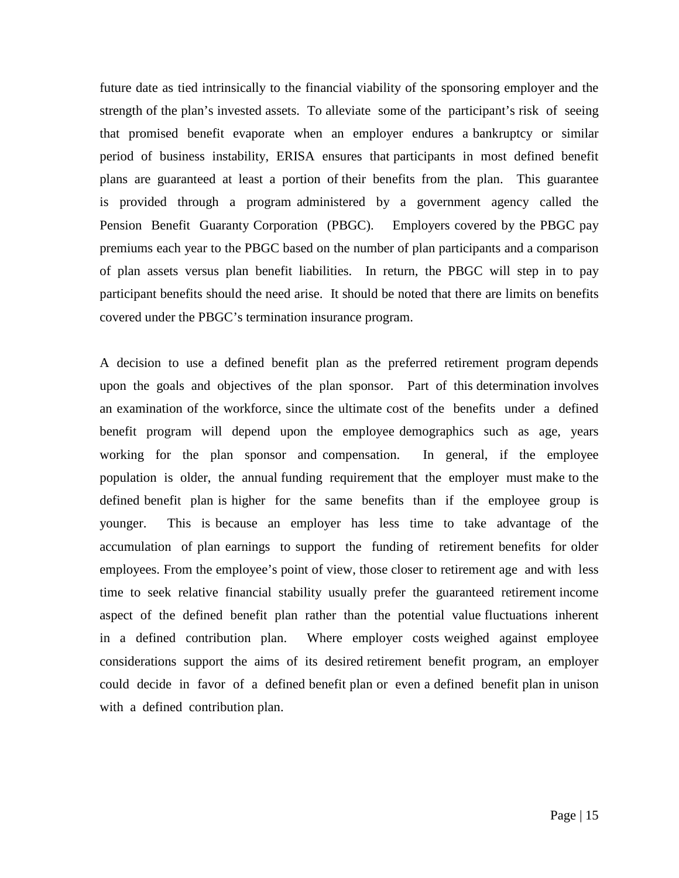future date as tied intrinsically to the financial viability of the sponsoring employer and the strength of the plan's invested assets. To alleviate some of the participant's risk of seeing that promised benefit evaporate when an employer endures a bankruptcy or similar period of business instability, ERISA ensures that participants in most defined benefit plans are guaranteed at least a portion of their benefits from the plan. This guarantee is provided through a program administered by a government agency called the Pension Benefit Guaranty Corporation (PBGC). Employers covered by the PBGC pay premiums each year to the PBGC based on the number of plan participants and a comparison of plan assets versus plan benefit liabilities. In return, the PBGC will step in to pay participant benefits should the need arise. It should be noted that there are limits on benefits covered under the PBGC's termination insurance program.

A decision to use a defined benefit plan as the preferred retirement program depends upon the goals and objectives of the plan sponsor. Part of this determination involves an examination of the workforce, since the ultimate cost of the benefits under a defined benefit program will depend upon the employee demographics such as age, years working for the plan sponsor and compensation. In general, if the employee population is older, the annual funding requirement that the employer must make to the defined benefit plan is higher for the same benefits than if the employee group is younger. This is because an employer has less time to take advantage of the accumulation of plan earnings to support the funding of retirement benefits for older employees. From the employee's point of view, those closer to retirement age and with less time to seek relative financial stability usually prefer the guaranteed retirement income aspect of the defined benefit plan rather than the potential value fluctuations inherent in a defined contribution plan. Where employer costs weighed against employee considerations support the aims of its desired retirement benefit program, an employer could decide in favor of a defined benefit plan or even a defined benefit plan in unison with a defined contribution plan.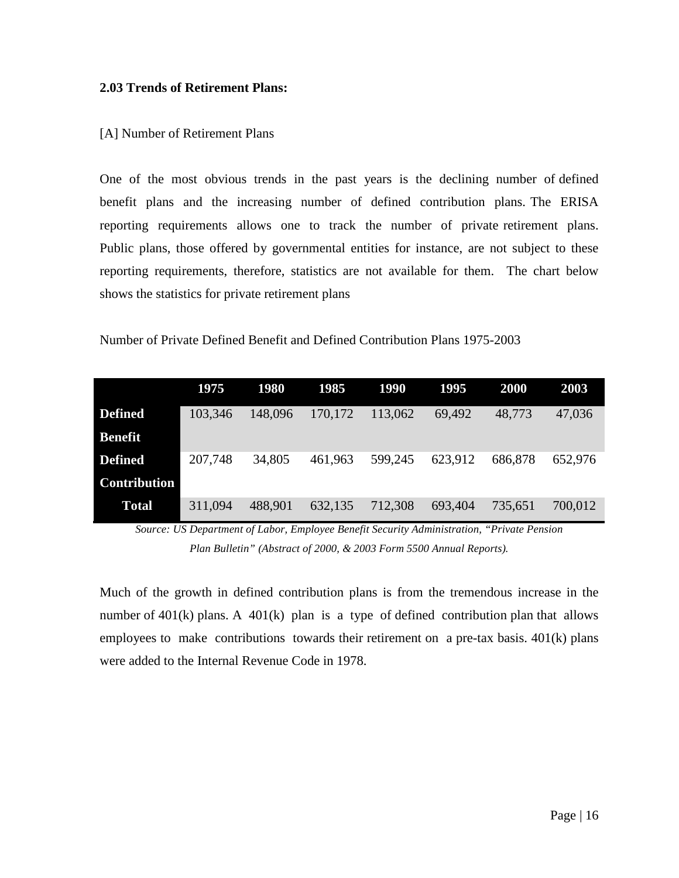### **2.03 Trends of Retirement Plans:**

### [A] Number of Retirement Plans

One of the most obvious trends in the past years is the declining number of defined benefit plans and the increasing number of defined contribution plans. The ERISA reporting requirements allows one to track the number of private retirement plans. Public plans, those offered by governmental entities for instance, are not subject to these reporting requirements, therefore, statistics are not available for them. The chart below shows the statistics for private retirement plans

|  |  | Number of Private Defined Benefit and Defined Contribution Plans 1975-2003 |
|--|--|----------------------------------------------------------------------------|
|--|--|----------------------------------------------------------------------------|

|                     | 1975    | <b>1980</b> | 1985    | <b>1990</b> | 1995    | 2000    | 2003    |
|---------------------|---------|-------------|---------|-------------|---------|---------|---------|
| <b>Defined</b>      | 103,346 | 148,096     | 170,172 | 113,062     | 69,492  | 48,773  | 47,036  |
| Benefit             |         |             |         |             |         |         |         |
| <b>Defined</b>      | 207,748 | 34,805      | 461,963 | 599,245     | 623,912 | 686,878 | 652,976 |
| <b>Contribution</b> |         |             |         |             |         |         |         |
| <b>Total</b>        | 311,094 | 488,901     | 632,135 | 712,308     | 693,404 | 735,651 | 700,012 |

*Source: US Department of Labor, Employee Benefit Security Administration, "Private Pension Plan Bulletin" (Abstract of 2000, & 2003 Form 5500 Annual Reports).*

Much of the growth in defined contribution plans is from the tremendous increase in the number of 401(k) plans. A 401(k) plan is a type of defined contribution plan that allows employees to make contributions towards their retirement on a pre-tax basis. 401(k) plans were added to the Internal Revenue Code in 1978.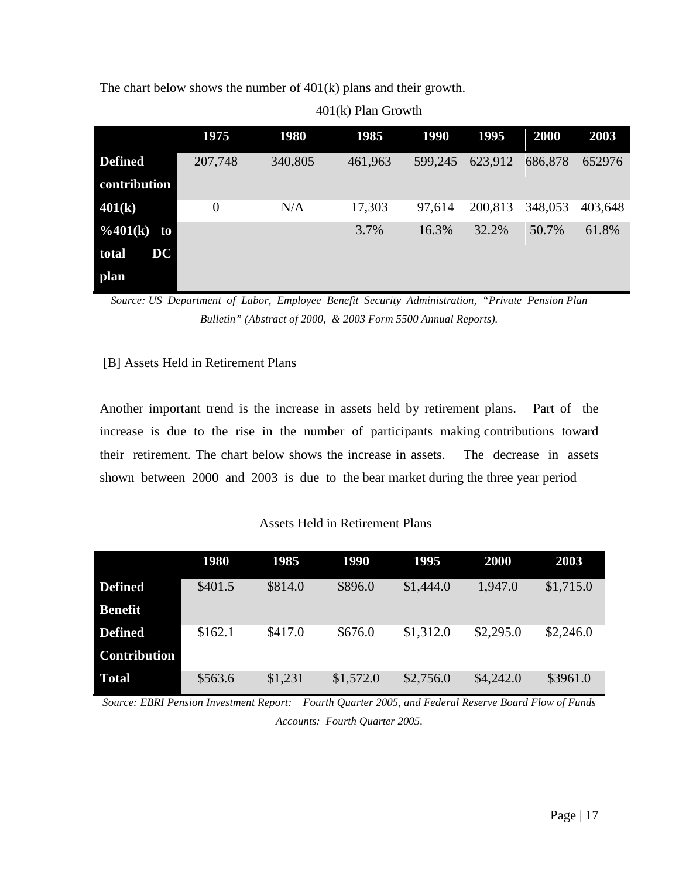The chart below shows the number of 401(k) plans and their growth.

|                       | 1975           | <b>1980</b> | 1985    | 1990    | 1995    | 2000    | 2003    |
|-----------------------|----------------|-------------|---------|---------|---------|---------|---------|
| <b>Defined</b>        | 207,748        | 340,805     | 461,963 | 599,245 | 623,912 | 686,878 | 652976  |
| contribution          |                |             |         |         |         |         |         |
| 401(k)                | $\overline{0}$ | N/A         | 17,303  | 97,614  | 200,813 | 348,053 | 403,648 |
| $\frac{0}{401(k)}$ to |                |             | 3.7%    | 16.3%   | 32.2%   | 50.7%   | 61.8%   |
| DC<br>total           |                |             |         |         |         |         |         |
| plan                  |                |             |         |         |         |         |         |

401(k) Plan Growth

*Source: US Department of Labor, Employee Benefit Security Administration, "Private Pension Plan Bulletin" (Abstract of 2000, & 2003 Form 5500 Annual Reports).*

### [B] Assets Held in Retirement Plans

Another important trend is the increase in assets held by retirement plans. Part of the increase is due to the rise in the number of participants making contributions toward their retirement. The chart below shows the increase in assets. The decrease in assets shown between 2000 and 2003 is due to the bear market during the three year period

### Assets Held in Retirement Plans

|                     | <b>1980</b> | 1985    | <b>1990</b> | 1995      | <b>2000</b> | 2003      |
|---------------------|-------------|---------|-------------|-----------|-------------|-----------|
| <b>Defined</b>      | \$401.5     | \$814.0 | \$896.0     | \$1,444.0 | 1,947.0     | \$1,715.0 |
| <b>Benefit</b>      |             |         |             |           |             |           |
| <b>Defined</b>      | \$162.1     | \$417.0 | \$676.0     | \$1,312.0 | \$2,295.0   | \$2,246.0 |
| <b>Contribution</b> |             |         |             |           |             |           |
| <b>Total</b>        | \$563.6     | \$1,231 | \$1,572.0   | \$2,756.0 | \$4,242.0   | \$3961.0  |

*Source: EBRI Pension Investment Report: Fourth Quarter 2005, and Federal Reserve Board Flow of Funds Accounts: Fourth Quarter 2005.*

Page | 17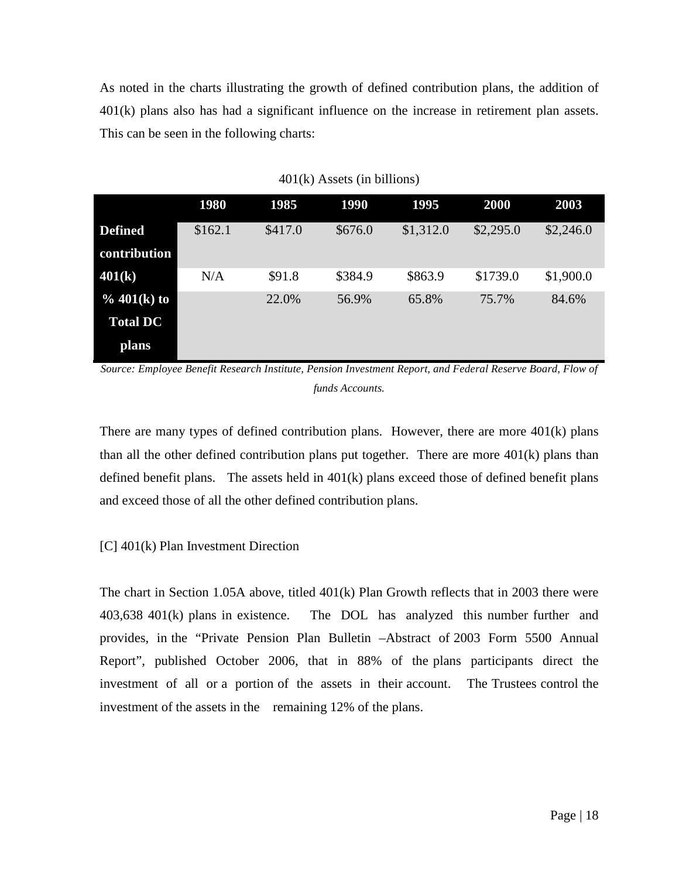As noted in the charts illustrating the growth of defined contribution plans, the addition of 401(k) plans also has had a significant influence on the increase in retirement plan assets. This can be seen in the following charts:

|                 | 1980    | 1985    | 1990    | 1995      | 2000      | 2003      |
|-----------------|---------|---------|---------|-----------|-----------|-----------|
| <b>Defined</b>  | \$162.1 | \$417.0 | \$676.0 | \$1,312.0 | \$2,295.0 | \$2,246.0 |
| contribution    |         |         |         |           |           |           |
| 401(k)          | N/A     | \$91.8  | \$384.9 | \$863.9   | \$1739.0  | \$1,900.0 |
| % $401(k)$ to   |         | 22.0%   | 56.9%   | 65.8%     | 75.7%     | 84.6%     |
| <b>Total DC</b> |         |         |         |           |           |           |
| plans           |         |         |         |           |           |           |

401(k) Assets (in billions)

*Source: Employee Benefit Research Institute, Pension Investment Report, and Federal Reserve Board, Flow of funds Accounts.*

There are many types of defined contribution plans. However, there are more  $401(k)$  plans than all the other defined contribution plans put together. There are more 401(k) plans than defined benefit plans. The assets held in 401(k) plans exceed those of defined benefit plans and exceed those of all the other defined contribution plans.

[C] 401(k) Plan Investment Direction

The chart in Section 1.05A above, titled 401(k) Plan Growth reflects that in 2003 there were 403,638 401(k) plans in existence. The DOL has analyzed this number further and provides, in the "Private Pension Plan Bulletin –Abstract of 2003 Form 5500 Annual Report", published October 2006, that in 88% of the plans participants direct the investment of all or a portion of the assets in their account. The Trustees control the investment of the assets in the remaining 12% of the plans.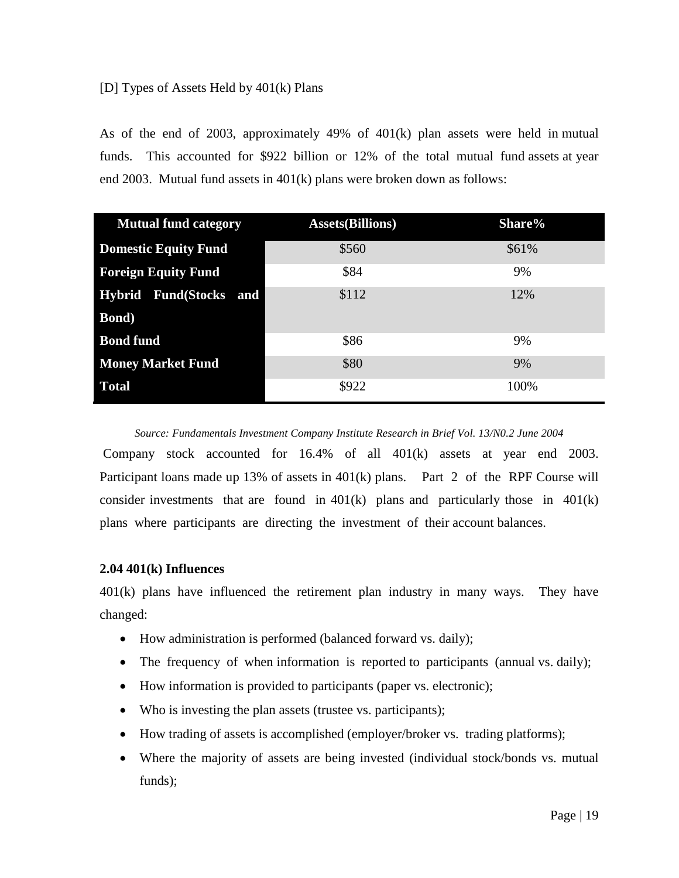### [D] Types of Assets Held by 401(k) Plans

As of the end of 2003, approximately 49% of 401(k) plan assets were held in mutual funds. This accounted for \$922 billion or 12% of the total mutual fund assets at year end 2003. Mutual fund assets in 401(k) plans were broken down as follows:

| <b>Mutual fund category</b> | <b>Assets</b> (Billions) | Share% |
|-----------------------------|--------------------------|--------|
| <b>Domestic Equity Fund</b> | \$560                    | \$61%  |
| <b>Foreign Equity Fund</b>  | \$84                     | 9%     |
| Hybrid Fund(Stocks and      | \$112                    | 12%    |
| <b>Bond</b> )               |                          |        |
| <b>Bond fund</b>            | \$86                     | 9%     |
| <b>Money Market Fund</b>    | \$80                     | 9%     |
| <b>Total</b>                | \$922                    | 100%   |

*Source: Fundamentals Investment Company Institute Research in Brief Vol. 13/N0.2 June 2004*

Company stock accounted for 16.4% of all 401(k) assets at year end 2003. Participant loans made up 13% of assets in 401(k) plans. Part 2 of the RPF Course will consider investments that are found in  $401(k)$  plans and particularly those in  $401(k)$ plans where participants are directing the investment of their account balances.

### **2.04 401(k) Influences**

401(k) plans have influenced the retirement plan industry in many ways. They have changed:

- How administration is performed (balanced forward vs. daily);
- The frequency of when information is reported to participants (annual vs. daily);
- How information is provided to participants (paper vs. electronic);
- Who is investing the plan assets (trustee vs. participants);
- How trading of assets is accomplished (employer/broker vs. trading platforms);
- Where the majority of assets are being invested (individual stock/bonds vs. mutual funds);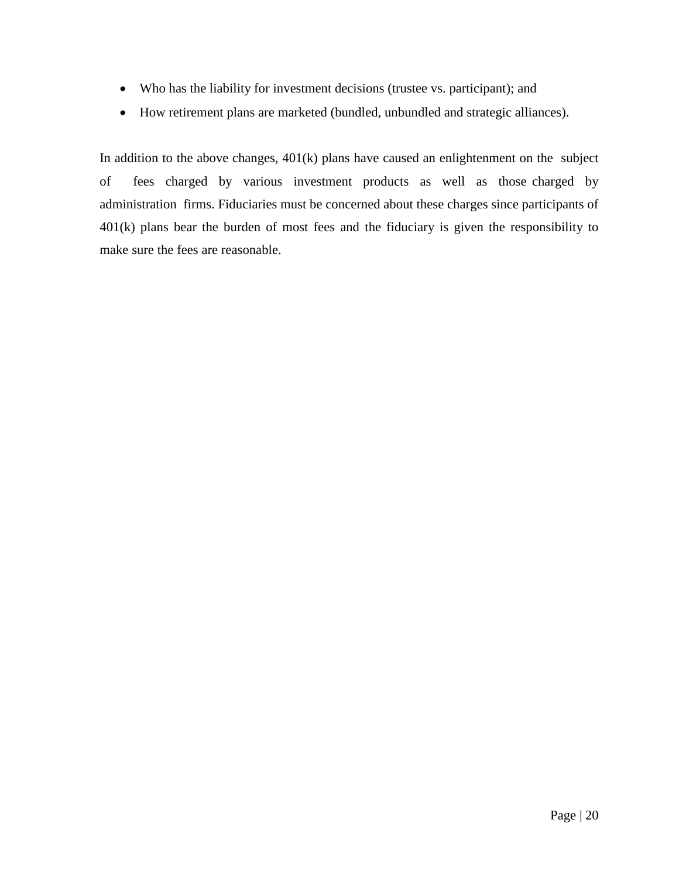- Who has the liability for investment decisions (trustee vs. participant); and
- How retirement plans are marketed (bundled, unbundled and strategic alliances).

In addition to the above changes,  $401(k)$  plans have caused an enlightenment on the subject of fees charged by various investment products as well as those charged by administration firms. Fiduciaries must be concerned about these charges since participants of 401(k) plans bear the burden of most fees and the fiduciary is given the responsibility to make sure the fees are reasonable.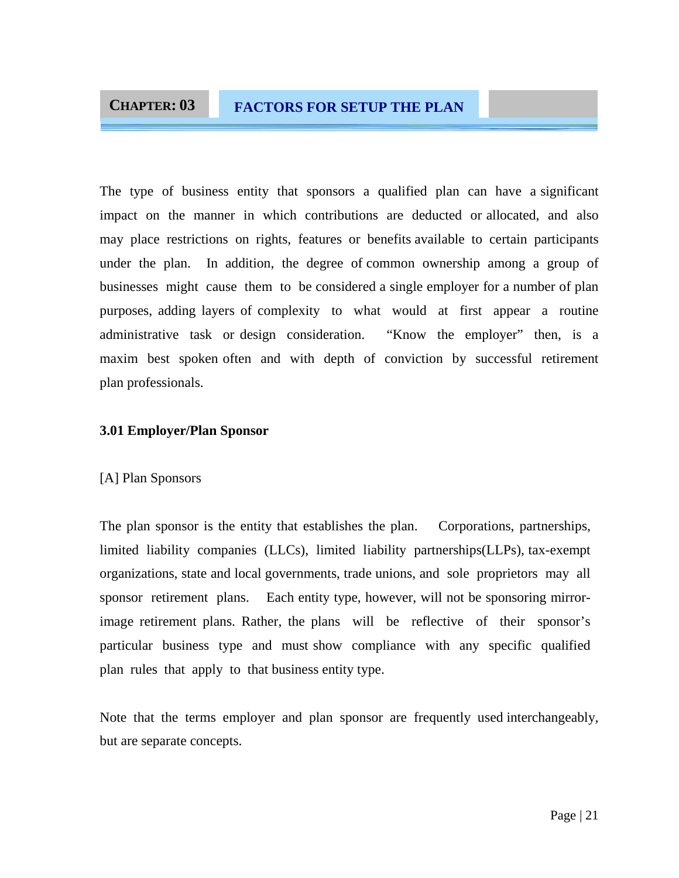### **CHAPTER: 03 FACTORS FOR SETUP THE PLAN**

The type of business entity that sponsors a qualified plan can have a significant impact on the manner in which contributions are deducted or allocated, and also may place restrictions on rights, features or benefits available to certain participants under the plan. In addition, the degree of common ownership among a group of businesses might cause them to be considered a single employer for a number of plan purposes, adding layers of complexity to what would at first appear a routine administrative task or design consideration. "Know the employer" then, is a maxim best spoken often and with depth of conviction by successful retirement plan professionals.

### **3.01 Employer/Plan Sponsor**

### [A] Plan Sponsors

The plan sponsor is the entity that establishes the plan. Corporations, partnerships, limited liability companies (LLCs), limited liability partnerships(LLPs), tax-exempt organizations, state and local governments, trade unions, and sole proprietors may all sponsor retirement plans. Each entity type, however, will not be sponsoring mirrorimage retirement plans. Rather, the plans will be reflective of their sponsor's particular business type and must show compliance with any specific qualified plan rules that apply to that business entity type.

Note that the terms employer and plan sponsor are frequently used interchangeably, but are separate concepts.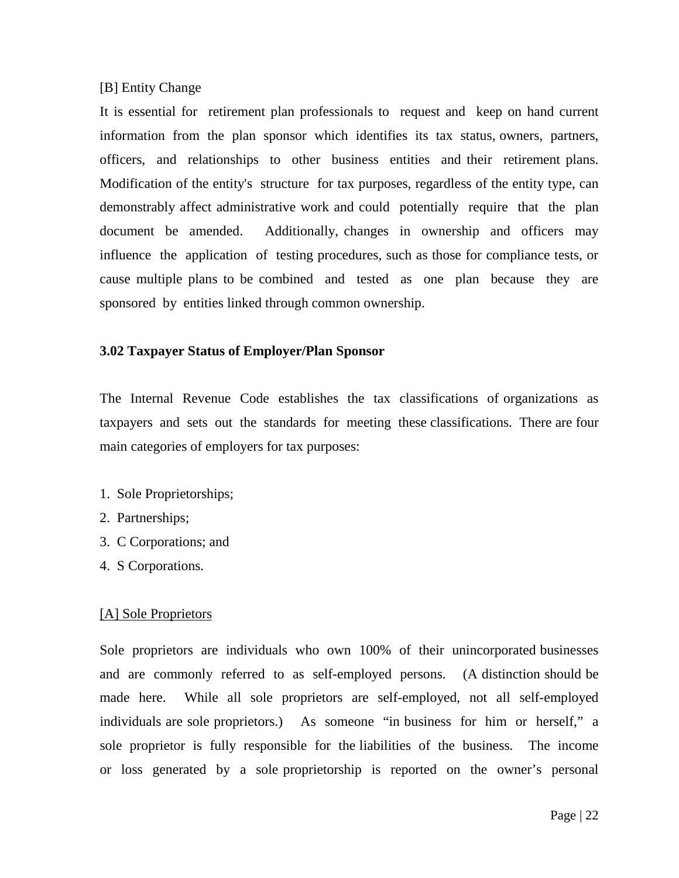### [B] Entity Change

It is essential for retirement plan professionals to request and keep on hand current information from the plan sponsor which identifies its tax status, owners, partners, officers, and relationships to other business entities and their retirement plans. Modification of the entity's structure for tax purposes, regardless of the entity type, can demonstrably affect administrative work and could potentially require that the plan document be amended. Additionally, changes in ownership and officers may influence the application of testing procedures, such as those for compliance tests, or cause multiple plans to be combined and tested as one plan because they are sponsored by entities linked through common ownership.

### **3.02 Taxpayer Status of Employer/Plan Sponsor**

The Internal Revenue Code establishes the tax classifications of organizations as taxpayers and sets out the standards for meeting these classifications. There are four main categories of employers for tax purposes:

- 1. Sole Proprietorships;
- 2. Partnerships;
- 3. C Corporations; and
- 4. S Corporations.

### [A] Sole Proprietors

Sole proprietors are individuals who own 100% of their unincorporated businesses and are commonly referred to as self-employed persons. (A distinction should be made here. While all sole proprietors are self-employed, not all self-employed individuals are sole proprietors.) As someone "in business for him or herself," a sole proprietor is fully responsible for the liabilities of the business. The income or loss generated by a sole proprietorship is reported on the owner's personal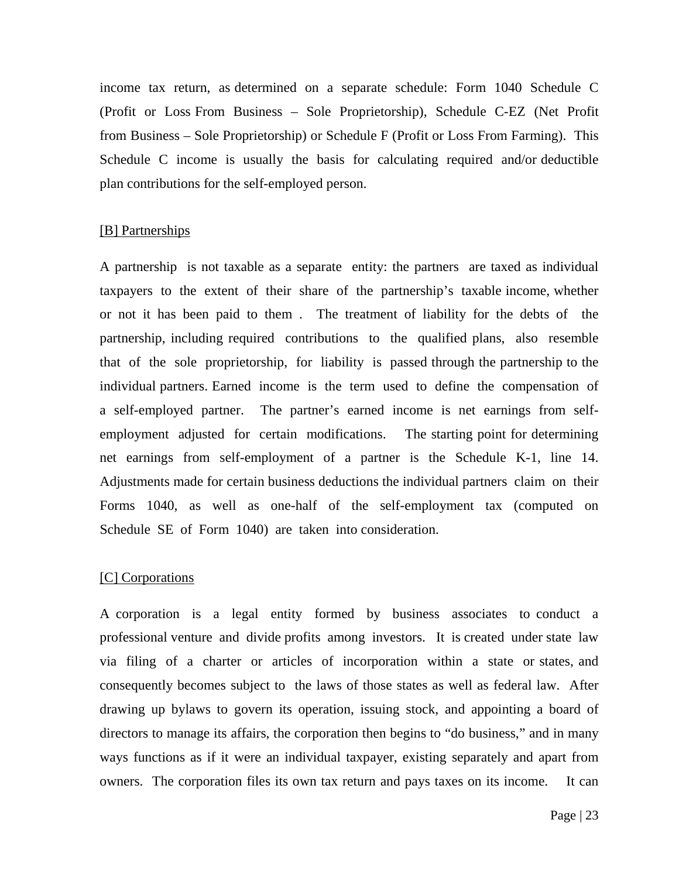income tax return, as determined on a separate schedule: Form 1040 Schedule C (Profit or Loss From Business – Sole Proprietorship), Schedule C-EZ (Net Profit from Business – Sole Proprietorship) or Schedule F (Profit or Loss From Farming). This Schedule C income is usually the basis for calculating required and/or deductible plan contributions for the self-employed person.

### [B] Partnerships

A partnership is not taxable as a separate entity: the partners are taxed as individual taxpayers to the extent of their share of the partnership's taxable income, whether or not it has been paid to them . The treatment of liability for the debts of the partnership, including required contributions to the qualified plans, also resemble that of the sole proprietorship, for liability is passed through the partnership to the individual partners. Earned income is the term used to define the compensation of a self-employed partner. The partner's earned income is net earnings from selfemployment adjusted for certain modifications. The starting point for determining net earnings from self-employment of a partner is the Schedule K-1, line 14. Adjustments made for certain business deductions the individual partners claim on their Forms 1040, as well as one-half of the self-employment tax (computed on Schedule SE of Form 1040) are taken into consideration.

#### [C] Corporations

A corporation is a legal entity formed by business associates to conduct a professional venture and divide profits among investors. It is created under state law via filing of a charter or articles of incorporation within a state or states, and consequently becomes subject to the laws of those states as well as federal law. After drawing up bylaws to govern its operation, issuing stock, and appointing a board of directors to manage its affairs, the corporation then begins to "do business," and in many ways functions as if it were an individual taxpayer, existing separately and apart from owners. The corporation files its own tax return and pays taxes on its income. It can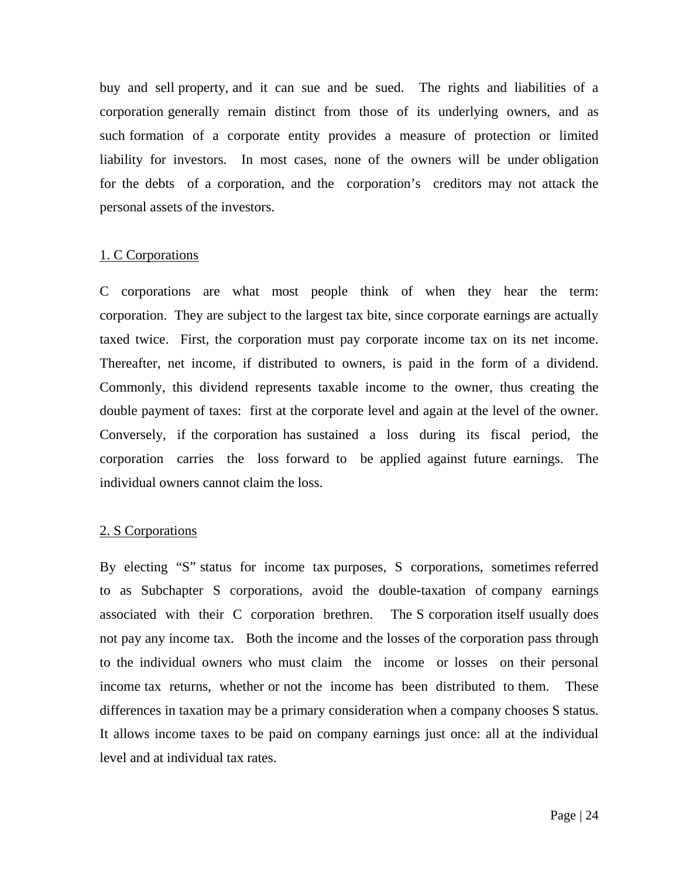buy and sell property, and it can sue and be sued. The rights and liabilities of a corporation generally remain distinct from those of its underlying owners, and as such formation of a corporate entity provides a measure of protection or limited liability for investors. In most cases, none of the owners will be under obligation for the debts of a corporation, and the corporation's creditors may not attack the personal assets of the investors.

### 1. C Corporations

C corporations are what most people think of when they hear the term: corporation. They are subject to the largest tax bite, since corporate earnings are actually taxed twice. First, the corporation must pay corporate income tax on its net income. Thereafter, net income, if distributed to owners, is paid in the form of a dividend. Commonly, this dividend represents taxable income to the owner, thus creating the double payment of taxes: first at the corporate level and again at the level of the owner. Conversely, if the corporation has sustained a loss during its fiscal period, the corporation carries the loss forward to be applied against future earnings. The individual owners cannot claim the loss.

### 2. S Corporations

By electing "S" status for income tax purposes, S corporations, sometimes referred to as Subchapter S corporations, avoid the double-taxation of company earnings associated with their C corporation brethren. The S corporation itself usually does not pay any income tax. Both the income and the losses of the corporation pass through to the individual owners who must claim the income or losses on their personal income tax returns, whether or not the income has been distributed to them. These differences in taxation may be a primary consideration when a company chooses S status. It allows income taxes to be paid on company earnings just once: all at the individual level and at individual tax rates.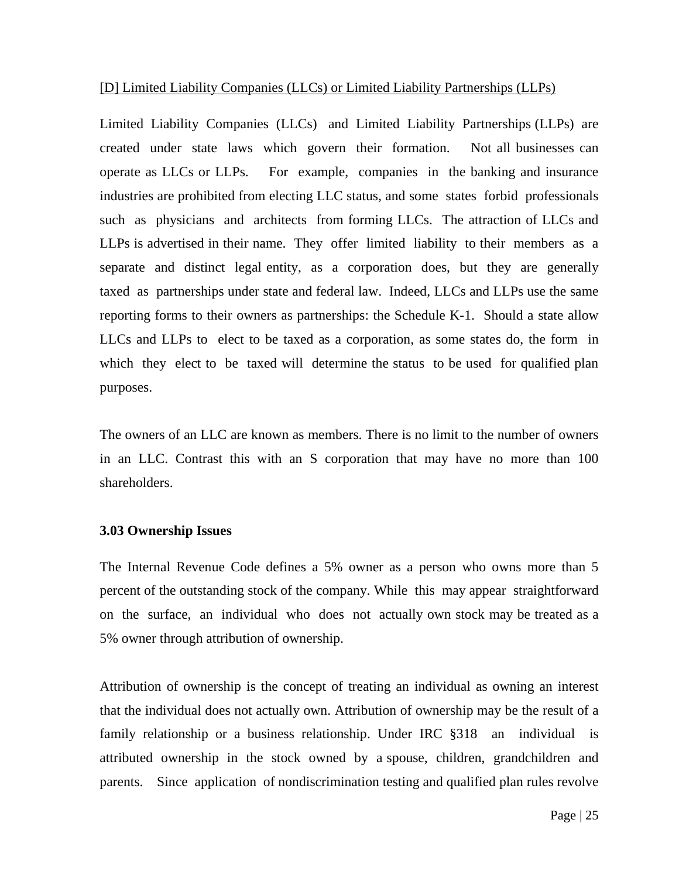### [D] Limited Liability Companies (LLCs) or Limited Liability Partnerships (LLPs)

Limited Liability Companies (LLCs) and Limited Liability Partnerships (LLPs) are created under state laws which govern their formation. Not all businesses can operate as LLCs or LLPs. For example, companies in the banking and insurance industries are prohibited from electing LLC status, and some states forbid professionals such as physicians and architects from forming LLCs. The attraction of LLCs and LLPs is advertised in their name. They offer limited liability to their members as a separate and distinct legal entity, as a corporation does, but they are generally taxed as partnerships under state and federal law. Indeed, LLCs and LLPs use the same reporting forms to their owners as partnerships: the Schedule K-1. Should a state allow LLCs and LLPs to elect to be taxed as a corporation, as some states do, the form in which they elect to be taxed will determine the status to be used for qualified plan purposes.

The owners of an LLC are known as members. There is no limit to the number of owners in an LLC. Contrast this with an S corporation that may have no more than 100 shareholders.

### **3.03 Ownership Issues**

The Internal Revenue Code defines a 5% owner as a person who owns more than 5 percent of the outstanding stock of the company. While this may appear straightforward on the surface, an individual who does not actually own stock may be treated as a 5% owner through attribution of ownership.

Attribution of ownership is the concept of treating an individual as owning an interest that the individual does not actually own. Attribution of ownership may be the result of a family relationship or a business relationship. Under IRC §318 an individual is attributed ownership in the stock owned by a spouse, children, grandchildren and parents. Since application of nondiscrimination testing and qualified plan rules revolve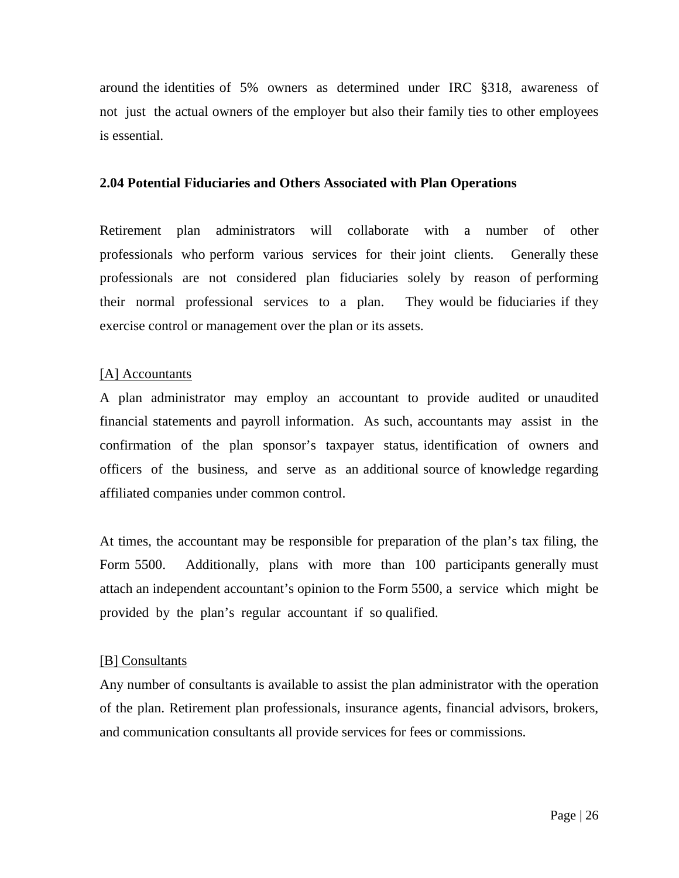around the identities of 5% owners as determined under IRC §318, awareness of not just the actual owners of the employer but also their family ties to other employees is essential.

### **2.04 Potential Fiduciaries and Others Associated with Plan Operations**

Retirement plan administrators will collaborate with a number of other professionals who perform various services for their joint clients. Generally these professionals are not considered plan fiduciaries solely by reason of performing their normal professional services to a plan. They would be fiduciaries if they exercise control or management over the plan or its assets.

### [A] Accountants

A plan administrator may employ an accountant to provide audited or unaudited financial statements and payroll information. As such, accountants may assist in the confirmation of the plan sponsor's taxpayer status, identification of owners and officers of the business, and serve as an additional source of knowledge regarding affiliated companies under common control.

At times, the accountant may be responsible for preparation of the plan's tax filing, the Form 5500. Additionally, plans with more than 100 participants generally must attach an independent accountant's opinion to the Form 5500, a service which might be provided by the plan's regular accountant if so qualified.

### [B] Consultants

Any number of consultants is available to assist the plan administrator with the operation of the plan. Retirement plan professionals, insurance agents, financial advisors, brokers, and communication consultants all provide services for fees or commissions.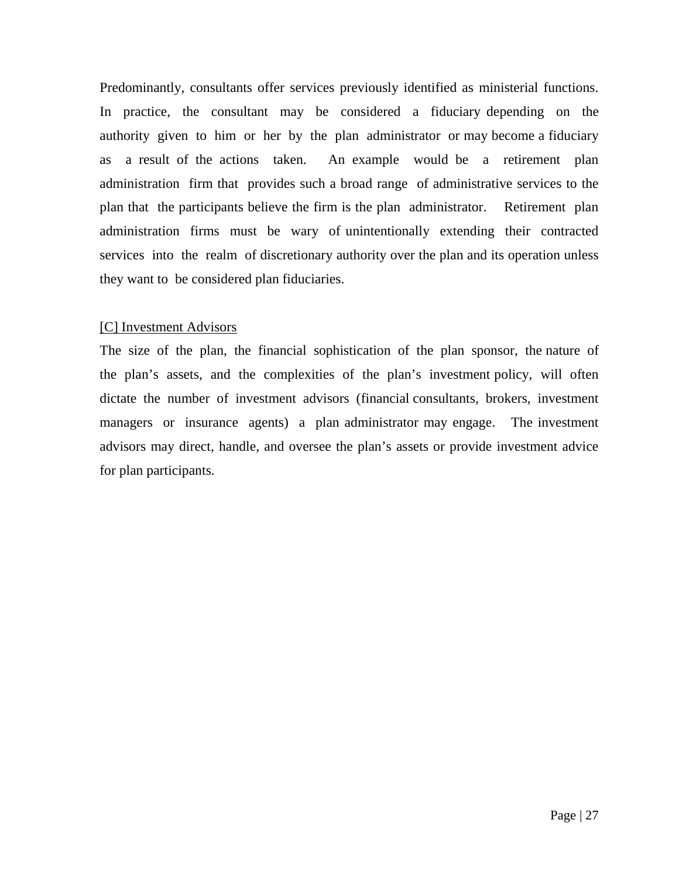Predominantly, consultants offer services previously identified as ministerial functions. In practice, the consultant may be considered a fiduciary depending on the authority given to him or her by the plan administrator or may become a fiduciary as a result of the actions taken. An example would be a retirement plan administration firm that provides such a broad range of administrative services to the plan that the participants believe the firm is the plan administrator. Retirement plan administration firms must be wary of unintentionally extending their contracted services into the realm of discretionary authority over the plan and its operation unless they want to be considered plan fiduciaries.

### [C] Investment Advisors

The size of the plan, the financial sophistication of the plan sponsor, the nature of the plan's assets, and the complexities of the plan's investment policy, will often dictate the number of investment advisors (financial consultants, brokers, investment managers or insurance agents) a plan administrator may engage. The investment advisors may direct, handle, and oversee the plan's assets or provide investment advice for plan participants.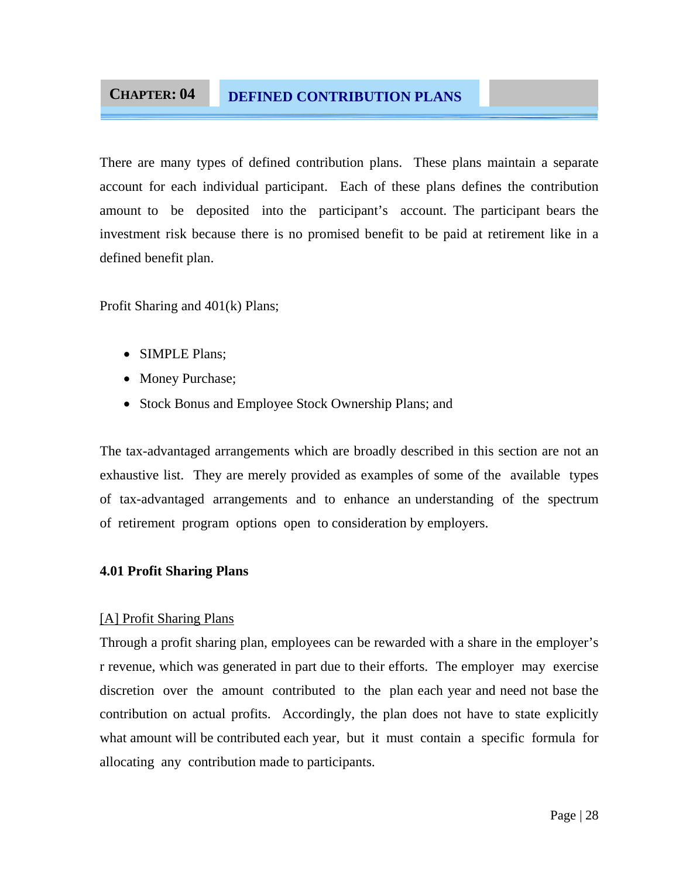### **CHAPTER: 04 DEFINED CONTRIBUTION PLANS**

There are many types of defined contribution plans. These plans maintain a separate account for each individual participant. Each of these plans defines the contribution amount to be deposited into the participant's account. The participant bears the investment risk because there is no promised benefit to be paid at retirement like in a defined benefit plan.

Profit Sharing and 401(k) Plans;

- SIMPLE Plans;
- Money Purchase;
- Stock Bonus and Employee Stock Ownership Plans; and

The tax-advantaged arrangements which are broadly described in this section are not an exhaustive list. They are merely provided as examples of some of the available types of tax-advantaged arrangements and to enhance an understanding of the spectrum of retirement program options open to consideration by employers.

### **4.01 Profit Sharing Plans**

### [A] Profit Sharing Plans

Through a profit sharing plan, employees can be rewarded with a share in the employer's r revenue, which was generated in part due to their efforts. The employer may exercise discretion over the amount contributed to the plan each year and need not base the contribution on actual profits. Accordingly, the plan does not have to state explicitly what amount will be contributed each year, but it must contain a specific formula for allocating any contribution made to participants.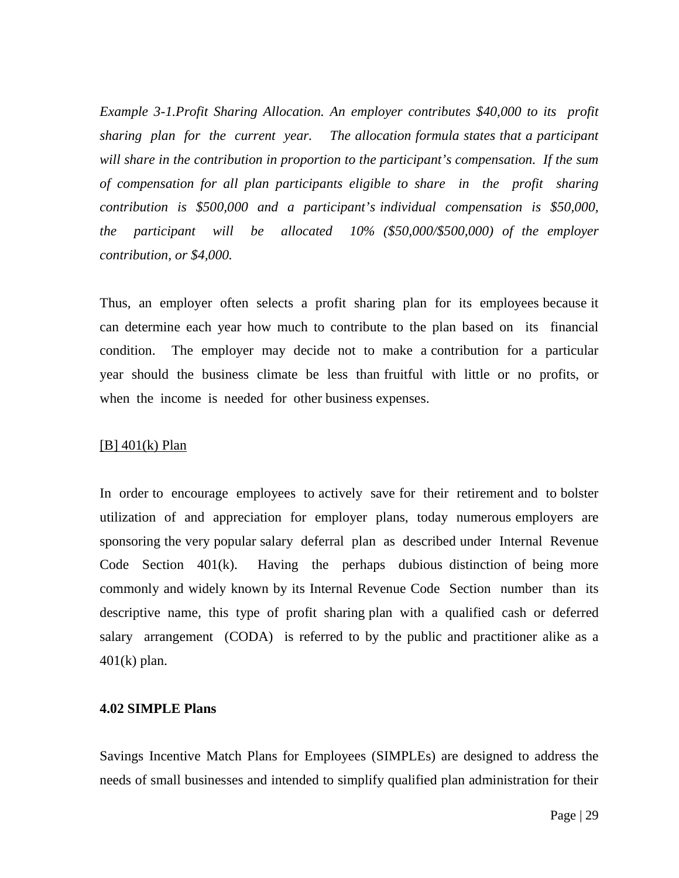*Example 3-1.Profit Sharing Allocation. An employer contributes \$40,000 to its profit sharing plan for the current year. The allocation formula states that a participant will share in the contribution in proportion to the participant's compensation. If the sum of compensation for all plan participants eligible to share in the profit sharing contribution is \$500,000 and a participant's individual compensation is \$50,000, the participant will be allocated 10% (\$50,000/\$500,000) of the employer contribution, or \$4,000.* 

Thus, an employer often selects a profit sharing plan for its employees because it can determine each year how much to contribute to the plan based on its financial condition. The employer may decide not to make a contribution for a particular year should the business climate be less than fruitful with little or no profits, or when the income is needed for other business expenses.

### [B] 401(k) Plan

In order to encourage employees to actively save for their retirement and to bolster utilization of and appreciation for employer plans, today numerous employers are sponsoring the very popular salary deferral plan as described under Internal Revenue Code Section 401(k). Having the perhaps dubious distinction of being more commonly and widely known by its Internal Revenue Code Section number than its descriptive name, this type of profit sharing plan with a qualified cash or deferred salary arrangement (CODA) is referred to by the public and practitioner alike as a  $401(k)$  plan.

### **4.02 SIMPLE Plans**

Savings Incentive Match Plans for Employees (SIMPLEs) are designed to address the needs of small businesses and intended to simplify qualified plan administration for their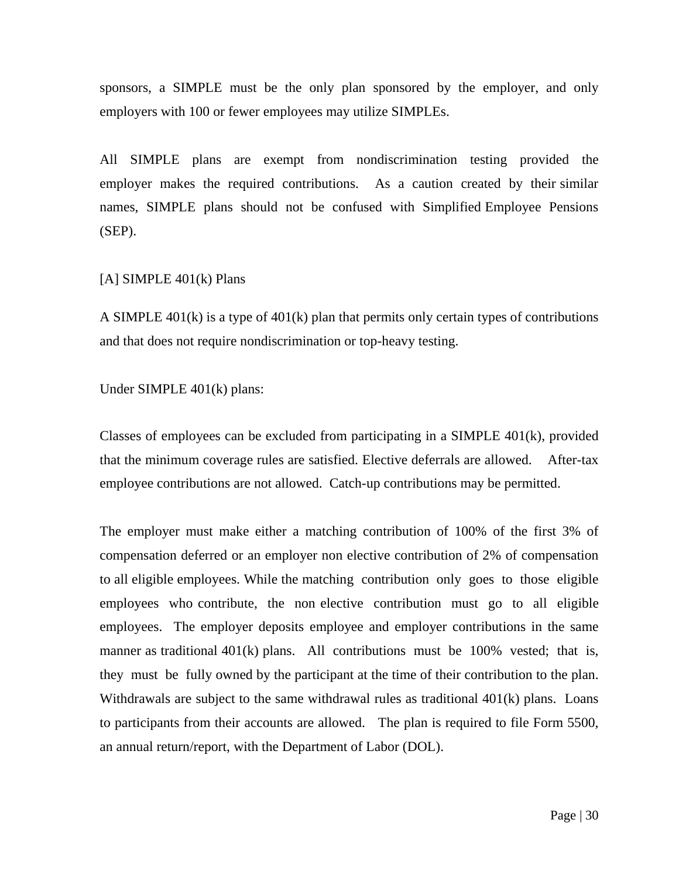sponsors, a SIMPLE must be the only plan sponsored by the employer, and only employers with 100 or fewer employees may utilize SIMPLEs.

All SIMPLE plans are exempt from nondiscrimination testing provided the employer makes the required contributions. As a caution created by their similar names, SIMPLE plans should not be confused with Simplified Employee Pensions (SEP).

### [A] SIMPLE  $401(k)$  Plans

A SIMPLE 401(k) is a type of 401(k) plan that permits only certain types of contributions and that does not require nondiscrimination or top-heavy testing.

### Under SIMPLE 401(k) plans:

Classes of employees can be excluded from participating in a SIMPLE 401(k), provided that the minimum coverage rules are satisfied. Elective deferrals are allowed. After-tax employee contributions are not allowed. Catch-up contributions may be permitted.

The employer must make either a matching contribution of 100% of the first 3% of compensation deferred or an employer non elective contribution of 2% of compensation to all eligible employees. While the matching contribution only goes to those eligible employees who contribute, the non elective contribution must go to all eligible employees. The employer deposits employee and employer contributions in the same manner as traditional 401(k) plans. All contributions must be 100% vested; that is, they must be fully owned by the participant at the time of their contribution to the plan. Withdrawals are subject to the same withdrawal rules as traditional  $401(k)$  plans. Loans to participants from their accounts are allowed. The plan is required to file Form 5500, an annual return/report, with the Department of Labor (DOL).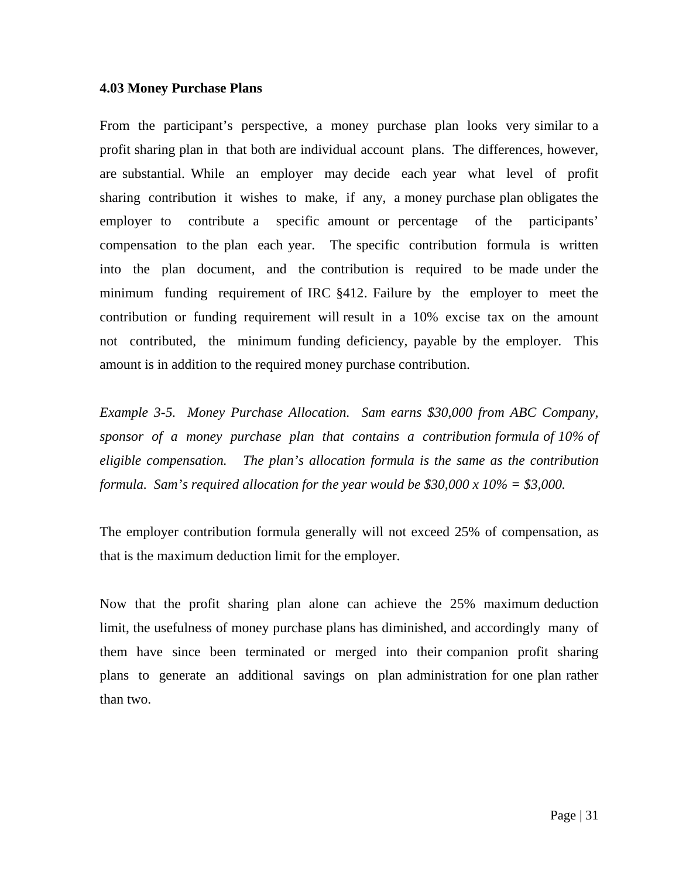### **4.03 Money Purchase Plans**

From the participant's perspective, a money purchase plan looks very similar to a profit sharing plan in that both are individual account plans. The differences, however, are substantial. While an employer may decide each year what level of profit sharing contribution it wishes to make, if any, a money purchase plan obligates the employer to contribute a specific amount or percentage of the participants' compensation to the plan each year. The specific contribution formula is written into the plan document, and the contribution is required to be made under the minimum funding requirement of IRC §412. Failure by the employer to meet the contribution or funding requirement will result in a 10% excise tax on the amount not contributed, the minimum funding deficiency, payable by the employer. This amount is in addition to the required money purchase contribution.

*Example 3-5. Money Purchase Allocation. Sam earns \$30,000 from ABC Company, sponsor of a money purchase plan that contains a contribution formula of 10% of eligible compensation. The plan's allocation formula is the same as the contribution formula. Sam's required allocation for the year would be \$30,000 x 10% = \$3,000.* 

The employer contribution formula generally will not exceed 25% of compensation, as that is the maximum deduction limit for the employer.

Now that the profit sharing plan alone can achieve the 25% maximum deduction limit, the usefulness of money purchase plans has diminished, and accordingly many of them have since been terminated or merged into their companion profit sharing plans to generate an additional savings on plan administration for one plan rather than two.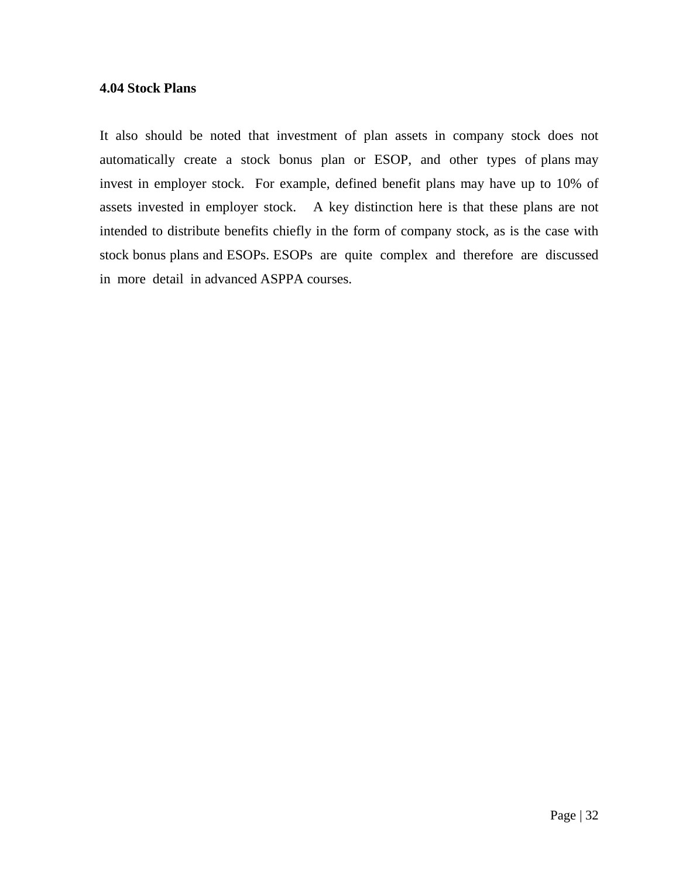### **4.04 Stock Plans**

It also should be noted that investment of plan assets in company stock does not automatically create a stock bonus plan or ESOP, and other types of plans may invest in employer stock. For example, defined benefit plans may have up to 10% of assets invested in employer stock. A key distinction here is that these plans are not intended to distribute benefits chiefly in the form of company stock, as is the case with stock bonus plans and ESOPs. ESOPs are quite complex and therefore are discussed in more detail in advanced ASPPA courses.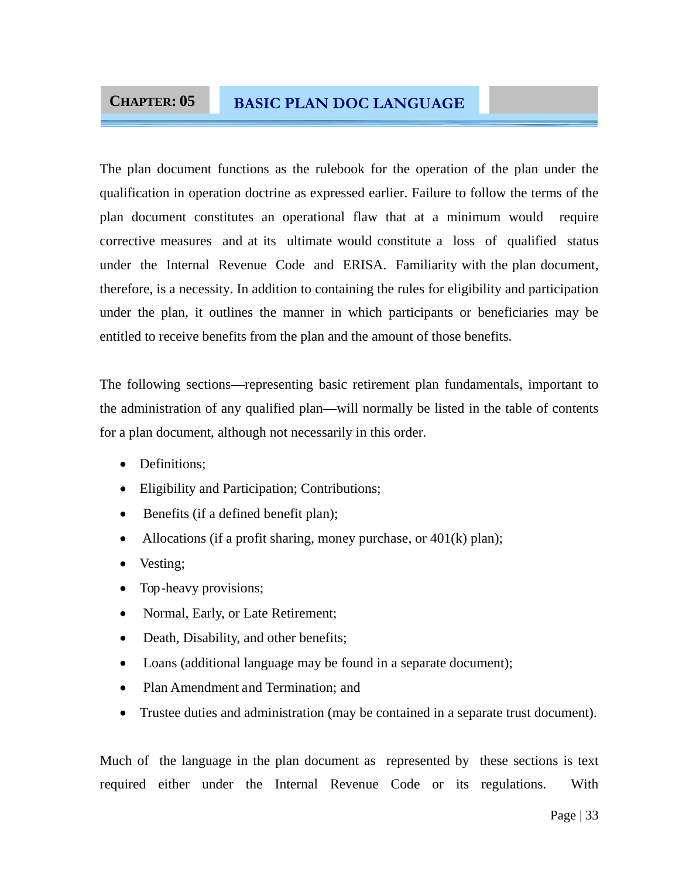### **CHAPTER: 05 BASIC PLAN DOC LANGUAGE**

The plan document functions as the rulebook for the operation of the plan under the qualification in operation doctrine as expressed earlier. Failure to follow the terms of the plan document constitutes an operational flaw that at a minimum would require corrective measures and at its ultimate would constitute a loss of qualified status under the Internal Revenue Code and ERISA. Familiarity with the plan document, therefore, is a necessity. In addition to containing the rules for eligibility and participation under the plan, it outlines the manner in which participants or beneficiaries may be entitled to receive benefits from the plan and the amount of those benefits.

The following sections—representing basic retirement plan fundamentals, important to the administration of any qualified plan—will normally be listed in the table of contents for a plan document, although not necessarily in this order.

- Definitions:
- Eligibility and Participation; Contributions;
- Benefits (if a defined benefit plan);
- Allocations (if a profit sharing, money purchase, or  $401(k)$  plan);
- Vesting;
- Top-heavy provisions;
- Normal, Early, or Late Retirement;
- Death, Disability, and other benefits;
- Loans (additional language may be found in a separate document);
- Plan Amendment and Termination: and
- Trustee duties and administration (may be contained in a separate trust document).

Much of the language in the plan document as represented by these sections is text required either under the Internal Revenue Code or its regulations. With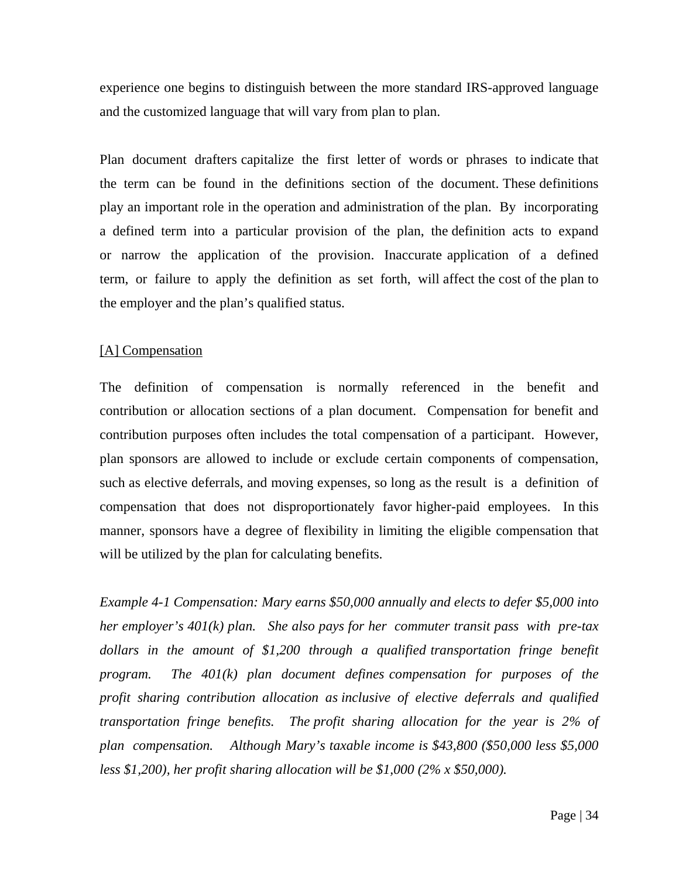experience one begins to distinguish between the more standard IRS-approved language and the customized language that will vary from plan to plan.

Plan document drafters capitalize the first letter of words or phrases to indicate that the term can be found in the definitions section of the document. These definitions play an important role in the operation and administration of the plan. By incorporating a defined term into a particular provision of the plan, the definition acts to expand or narrow the application of the provision. Inaccurate application of a defined term, or failure to apply the definition as set forth, will affect the cost of the plan to the employer and the plan's qualified status.

### [A] Compensation

The definition of compensation is normally referenced in the benefit and contribution or allocation sections of a plan document. Compensation for benefit and contribution purposes often includes the total compensation of a participant. However, plan sponsors are allowed to include or exclude certain components of compensation, such as elective deferrals, and moving expenses, so long as the result is a definition of compensation that does not disproportionately favor higher-paid employees. In this manner, sponsors have a degree of flexibility in limiting the eligible compensation that will be utilized by the plan for calculating benefits.

*Example 4-1 Compensation: Mary earns \$50,000 annually and elects to defer \$5,000 into her employer's 401(k) plan. She also pays for her commuter transit pass with pre-tax*  dollars in the amount of \$1,200 through a qualified transportation fringe benefit *program. The 401(k) plan document defines compensation for purposes of the profit sharing contribution allocation as inclusive of elective deferrals and qualified transportation fringe benefits. The profit sharing allocation for the year is 2% of plan compensation. Although Mary's taxable income is \$43,800 (\$50,000 less \$5,000 less \$1,200), her profit sharing allocation will be \$1,000 (2% x \$50,000).*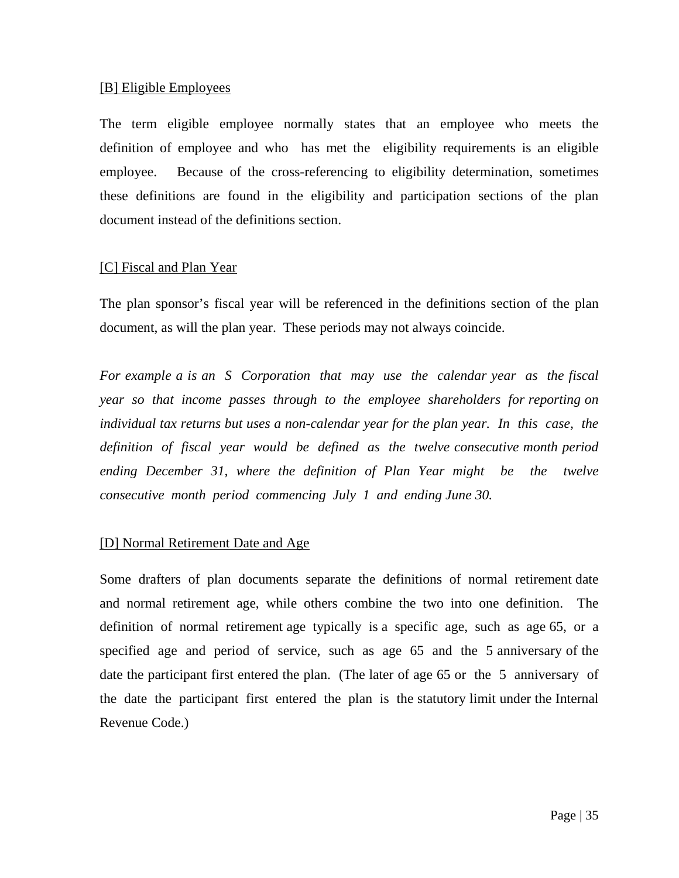### [B] Eligible Employees

The term eligible employee normally states that an employee who meets the definition of employee and who has met the eligibility requirements is an eligible employee. Because of the cross-referencing to eligibility determination, sometimes these definitions are found in the eligibility and participation sections of the plan document instead of the definitions section.

### [C] Fiscal and Plan Year

The plan sponsor's fiscal year will be referenced in the definitions section of the plan document, as will the plan year. These periods may not always coincide.

*For example a is an S Corporation that may use the calendar year as the fiscal year so that income passes through to the employee shareholders for reporting on individual tax returns but uses a non-calendar year for the plan year. In this case, the definition of fiscal year would be defined as the twelve consecutive month period ending December 31, where the definition of Plan Year might be the twelve consecutive month period commencing July 1 and ending June 30.*

### [D] Normal Retirement Date and Age

Some drafters of plan documents separate the definitions of normal retirement date and normal retirement age, while others combine the two into one definition. The definition of normal retirement age typically is a specific age, such as age 65, or a specified age and period of service, such as age 65 and the 5 anniversary of the date the participant first entered the plan. (The later of age 65 or the 5 anniversary of the date the participant first entered the plan is the statutory limit under the Internal Revenue Code.)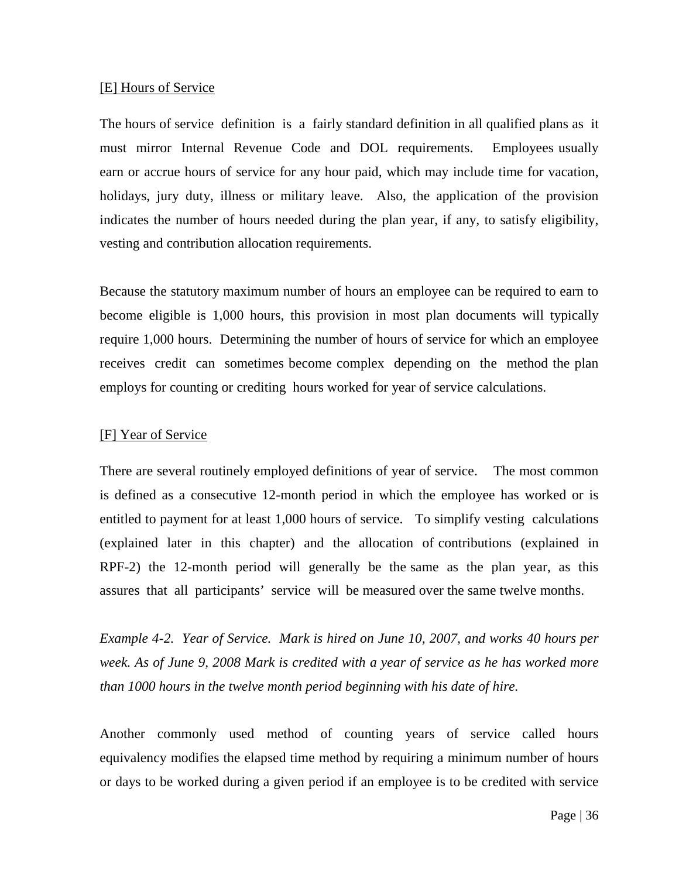#### [E] Hours of Service

The hours of service definition is a fairly standard definition in all qualified plans as it must mirror Internal Revenue Code and DOL requirements. Employees usually earn or accrue hours of service for any hour paid, which may include time for vacation, holidays, jury duty, illness or military leave. Also, the application of the provision indicates the number of hours needed during the plan year, if any, to satisfy eligibility, vesting and contribution allocation requirements.

Because the statutory maximum number of hours an employee can be required to earn to become eligible is 1,000 hours, this provision in most plan documents will typically require 1,000 hours. Determining the number of hours of service for which an employee receives credit can sometimes become complex depending on the method the plan employs for counting or crediting hours worked for year of service calculations.

### [F] Year of Service

There are several routinely employed definitions of year of service. The most common is defined as a consecutive 12-month period in which the employee has worked or is entitled to payment for at least 1,000 hours of service. To simplify vesting calculations (explained later in this chapter) and the allocation of contributions (explained in RPF-2) the 12-month period will generally be the same as the plan year, as this assures that all participants' service will be measured over the same twelve months.

*Example 4-2. Year of Service. Mark is hired on June 10, 2007, and works 40 hours per week. As of June 9, 2008 Mark is credited with a year of service as he has worked more than 1000 hours in the twelve month period beginning with his date of hire.*

Another commonly used method of counting years of service called hours equivalency modifies the elapsed time method by requiring a minimum number of hours or days to be worked during a given period if an employee is to be credited with service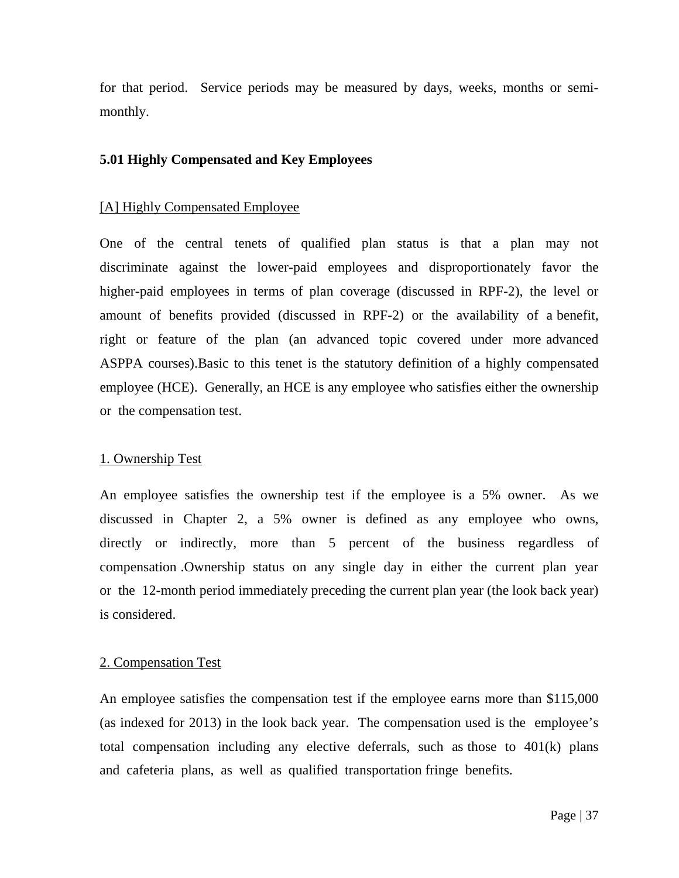for that period. Service periods may be measured by days, weeks, months or semimonthly.

### **5.01 Highly Compensated and Key Employees**

### [A] Highly Compensated Employee

One of the central tenets of qualified plan status is that a plan may not discriminate against the lower-paid employees and disproportionately favor the higher-paid employees in terms of plan coverage (discussed in RPF-2), the level or amount of benefits provided (discussed in RPF-2) or the availability of a benefit, right or feature of the plan (an advanced topic covered under more advanced ASPPA courses).Basic to this tenet is the statutory definition of a highly compensated employee (HCE). Generally, an HCE is any employee who satisfies either the ownership or the compensation test.

### 1. Ownership Test

An employee satisfies the ownership test if the employee is a 5% owner. As we discussed in Chapter 2, a 5% owner is defined as any employee who owns, directly or indirectly, more than 5 percent of the business regardless of compensation .Ownership status on any single day in either the current plan year or the 12-month period immediately preceding the current plan year (the look back year) is considered.

### 2. Compensation Test

An employee satisfies the compensation test if the employee earns more than \$115,000 (as indexed for 2013) in the look back year. The compensation used is the employee's total compensation including any elective deferrals, such as those to 401(k) plans and cafeteria plans, as well as qualified transportation fringe benefits.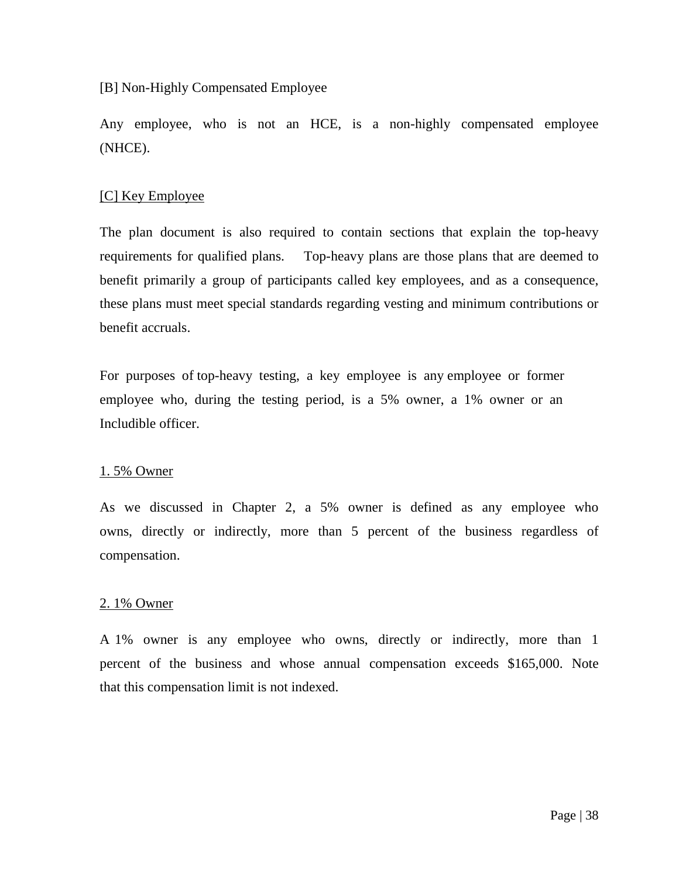[B] Non-Highly Compensated Employee

Any employee, who is not an HCE, is a non-highly compensated employee (NHCE).

### [C] Key Employee

The plan document is also required to contain sections that explain the top-heavy requirements for qualified plans. Top-heavy plans are those plans that are deemed to benefit primarily a group of participants called key employees, and as a consequence, these plans must meet special standards regarding vesting and minimum contributions or benefit accruals.

For purposes of top-heavy testing, a key employee is any employee or former employee who, during the testing period, is a 5% owner, a 1% owner or an Includible officer.

#### 1. 5% Owner

As we discussed in Chapter 2, a 5% owner is defined as any employee who owns, directly or indirectly, more than 5 percent of the business regardless of compensation.

### 2. 1% Owner

A 1% owner is any employee who owns, directly or indirectly, more than 1 percent of the business and whose annual compensation exceeds \$165,000. Note that this compensation limit is not indexed.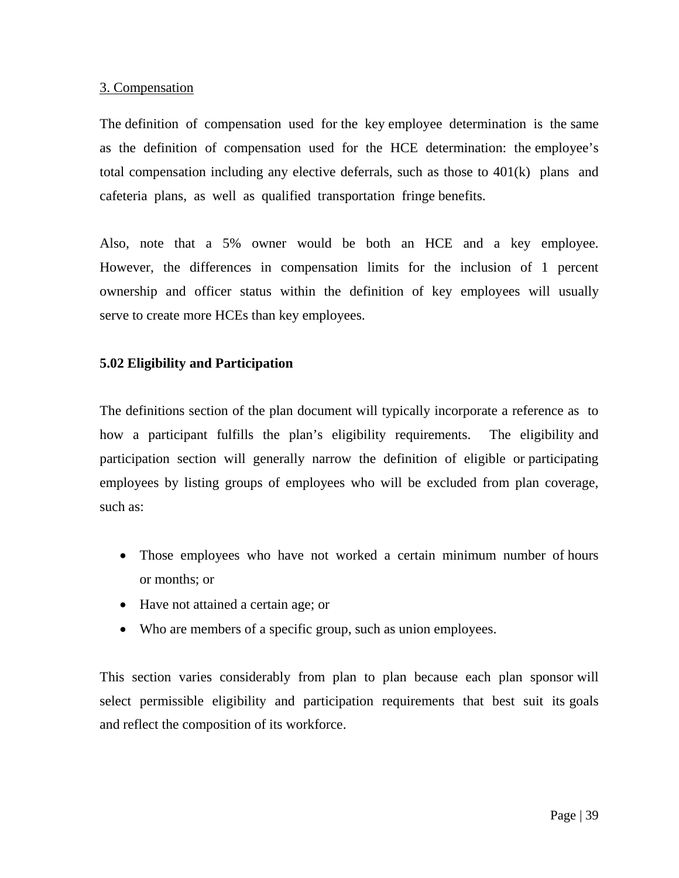### 3. Compensation

The definition of compensation used for the key employee determination is the same as the definition of compensation used for the HCE determination: the employee's total compensation including any elective deferrals, such as those to 401(k) plans and cafeteria plans, as well as qualified transportation fringe benefits.

Also, note that a 5% owner would be both an HCE and a key employee. However, the differences in compensation limits for the inclusion of 1 percent ownership and officer status within the definition of key employees will usually serve to create more HCEs than key employees.

### **5.02 Eligibility and Participation**

The definitions section of the plan document will typically incorporate a reference as to how a participant fulfills the plan's eligibility requirements. The eligibility and participation section will generally narrow the definition of eligible or participating employees by listing groups of employees who will be excluded from plan coverage, such as:

- Those employees who have not worked a certain minimum number of hours or months; or
- Have not attained a certain age; or
- Who are members of a specific group, such as union employees.

This section varies considerably from plan to plan because each plan sponsor will select permissible eligibility and participation requirements that best suit its goals and reflect the composition of its workforce.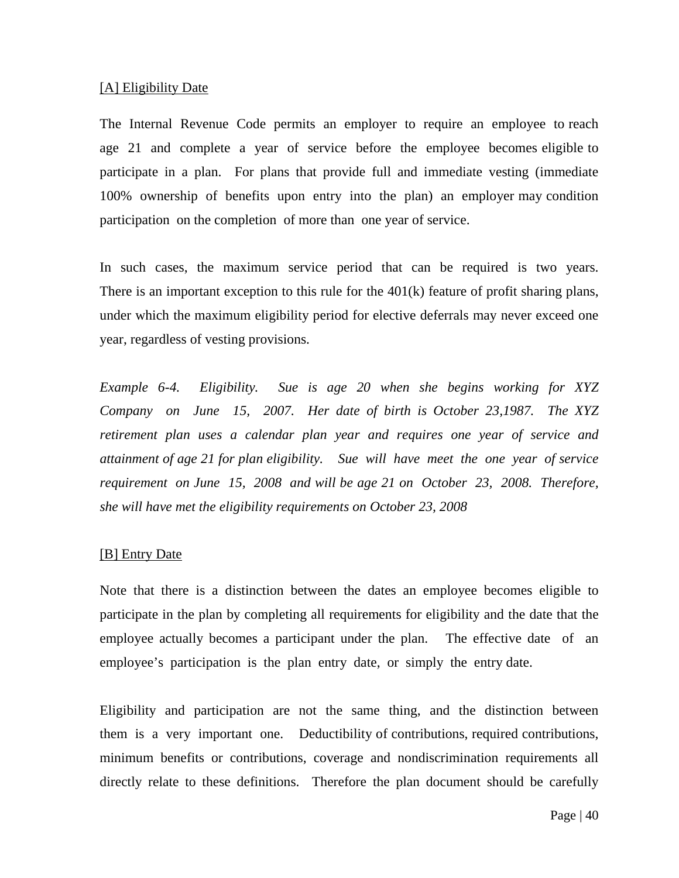#### [A] Eligibility Date

The Internal Revenue Code permits an employer to require an employee to reach age 21 and complete a year of service before the employee becomes eligible to participate in a plan. For plans that provide full and immediate vesting (immediate 100% ownership of benefits upon entry into the plan) an employer may condition participation on the completion of more than one year of service.

In such cases, the maximum service period that can be required is two years. There is an important exception to this rule for the 401(k) feature of profit sharing plans, under which the maximum eligibility period for elective deferrals may never exceed one year, regardless of vesting provisions.

*Example 6-4. Eligibility. Sue is age 20 when she begins working for XYZ Company on June 15, 2007. Her date of birth is October 23,1987. The XYZ retirement plan uses a calendar plan year and requires one year of service and attainment of age 21 for plan eligibility. Sue will have meet the one year of service requirement on June 15, 2008 and will be age 21 on October 23, 2008. Therefore, she will have met the eligibility requirements on October 23, 2008* 

### [B] Entry Date

Note that there is a distinction between the dates an employee becomes eligible to participate in the plan by completing all requirements for eligibility and the date that the employee actually becomes a participant under the plan. The effective date of an employee's participation is the plan entry date, or simply the entry date.

Eligibility and participation are not the same thing, and the distinction between them is a very important one. Deductibility of contributions, required contributions, minimum benefits or contributions, coverage and nondiscrimination requirements all directly relate to these definitions. Therefore the plan document should be carefully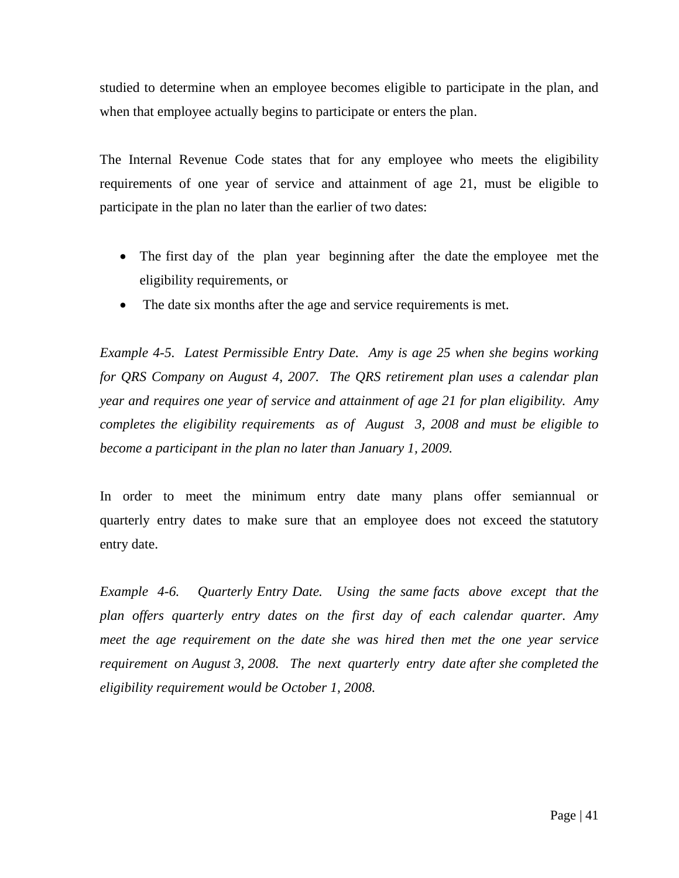studied to determine when an employee becomes eligible to participate in the plan, and when that employee actually begins to participate or enters the plan.

The Internal Revenue Code states that for any employee who meets the eligibility requirements of one year of service and attainment of age 21, must be eligible to participate in the plan no later than the earlier of two dates:

- The first day of the plan year beginning after the date the employee met the eligibility requirements, or
- The date six months after the age and service requirements is met.

*Example 4-5. Latest Permissible Entry Date. Amy is age 25 when she begins working for QRS Company on August 4, 2007. The QRS retirement plan uses a calendar plan year and requires one year of service and attainment of age 21 for plan eligibility. Amy completes the eligibility requirements as of August 3, 2008 and must be eligible to become a participant in the plan no later than January 1, 2009.*

In order to meet the minimum entry date many plans offer semiannual or quarterly entry dates to make sure that an employee does not exceed the statutory entry date.

*Example 4-6. Quarterly Entry Date. Using the same facts above except that the plan offers quarterly entry dates on the first day of each calendar quarter. Amy meet the age requirement on the date she was hired then met the one year service requirement on August 3, 2008. The next quarterly entry date after she completed the eligibility requirement would be October 1, 2008.*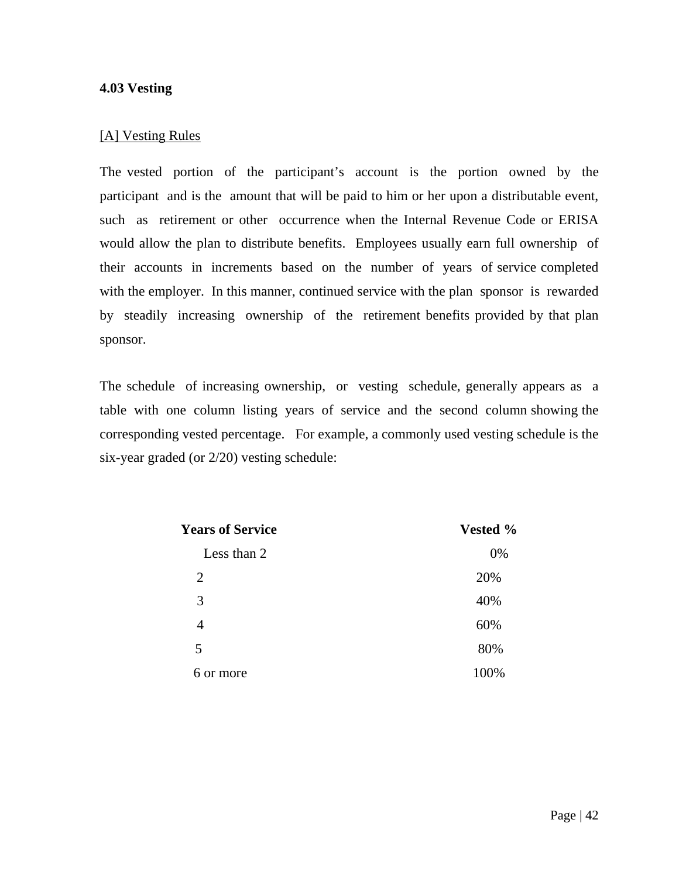### **4.03 Vesting**

### [A] Vesting Rules

The vested portion of the participant's account is the portion owned by the participant and is the amount that will be paid to him or her upon a distributable event, such as retirement or other occurrence when the Internal Revenue Code or ERISA would allow the plan to distribute benefits. Employees usually earn full ownership of their accounts in increments based on the number of years of service completed with the employer. In this manner, continued service with the plan sponsor is rewarded by steadily increasing ownership of the retirement benefits provided by that plan sponsor.

The schedule of increasing ownership, or vesting schedule, generally appears as a table with one column listing years of service and the second column showing the corresponding vested percentage. For example, a commonly used vesting schedule is the six-year graded (or 2/20) vesting schedule:

| <b>Years of Service</b> | Vested % |
|-------------------------|----------|
| Less than 2             | 0%       |
| 2                       | 20%      |
| 3                       | 40%      |
| 4                       | 60%      |
| 5                       | 80%      |
| 6 or more               | 100%     |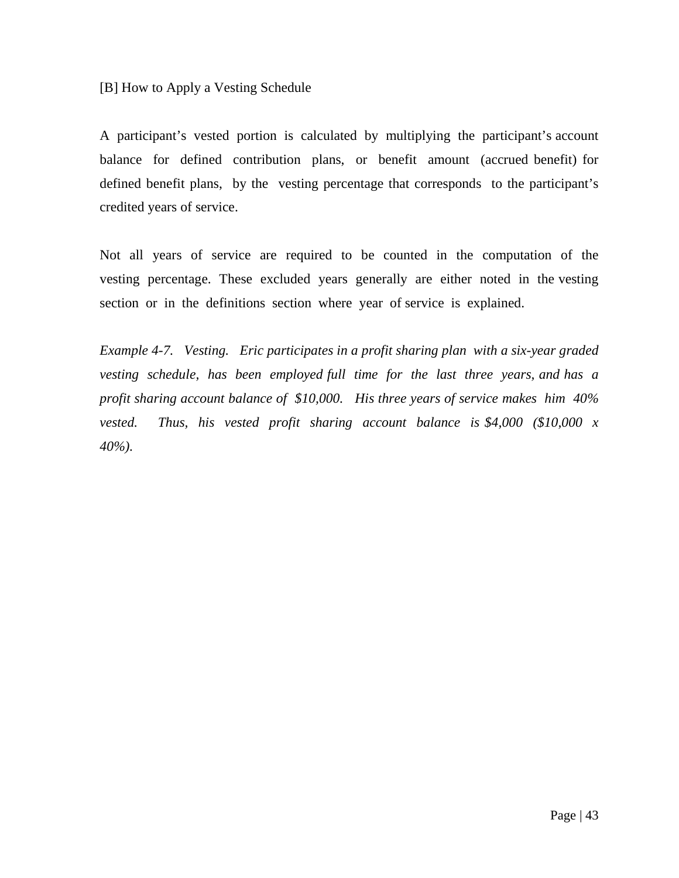[B] How to Apply a Vesting Schedule

A participant's vested portion is calculated by multiplying the participant's account balance for defined contribution plans, or benefit amount (accrued benefit) for defined benefit plans, by the vesting percentage that corresponds to the participant's credited years of service.

Not all years of service are required to be counted in the computation of the vesting percentage. These excluded years generally are either noted in the vesting section or in the definitions section where year of service is explained.

*Example 4-7. Vesting. Eric participates in a profit sharing plan with a six-year graded vesting schedule, has been employed full time for the last three years, and has a profit sharing account balance of \$10,000. His three years of service makes him 40% vested. Thus, his vested profit sharing account balance is \$4,000 (\$10,000 x 40%).*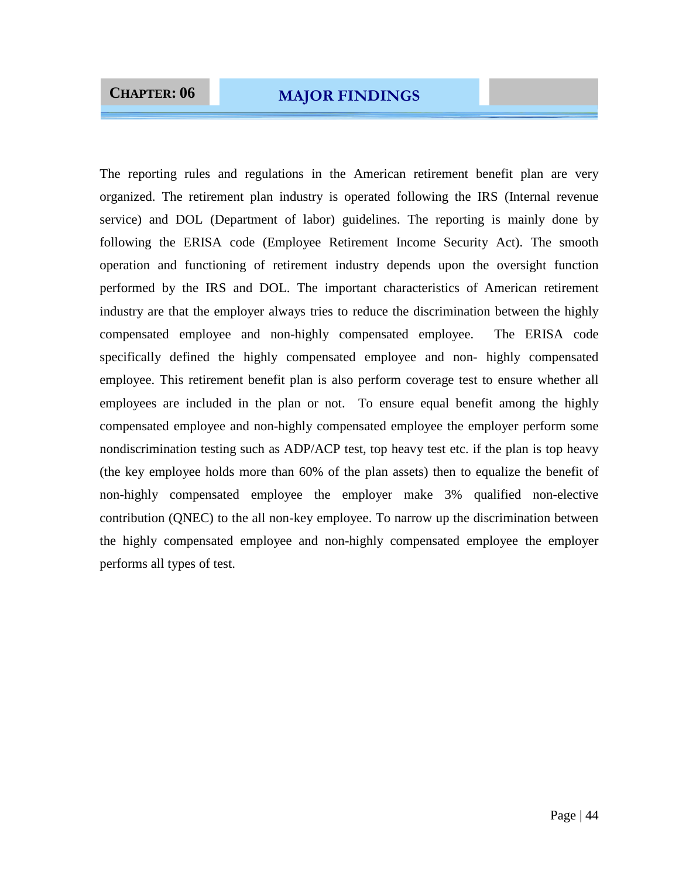The reporting rules and regulations in the American retirement benefit plan are very organized. The retirement plan industry is operated following the IRS (Internal revenue service) and DOL (Department of labor) guidelines. The reporting is mainly done by following the ERISA code (Employee Retirement Income Security Act). The smooth operation and functioning of retirement industry depends upon the oversight function performed by the IRS and DOL. The important characteristics of American retirement industry are that the employer always tries to reduce the discrimination between the highly compensated employee and non-highly compensated employee. The ERISA code specifically defined the highly compensated employee and non- highly compensated employee. This retirement benefit plan is also perform coverage test to ensure whether all employees are included in the plan or not. To ensure equal benefit among the highly compensated employee and non-highly compensated employee the employer perform some nondiscrimination testing such as ADP/ACP test, top heavy test etc. if the plan is top heavy (the key employee holds more than 60% of the plan assets) then to equalize the benefit of non-highly compensated employee the employer make 3% qualified non-elective contribution (QNEC) to the all non-key employee. To narrow up the discrimination between the highly compensated employee and non-highly compensated employee the employer performs all types of test.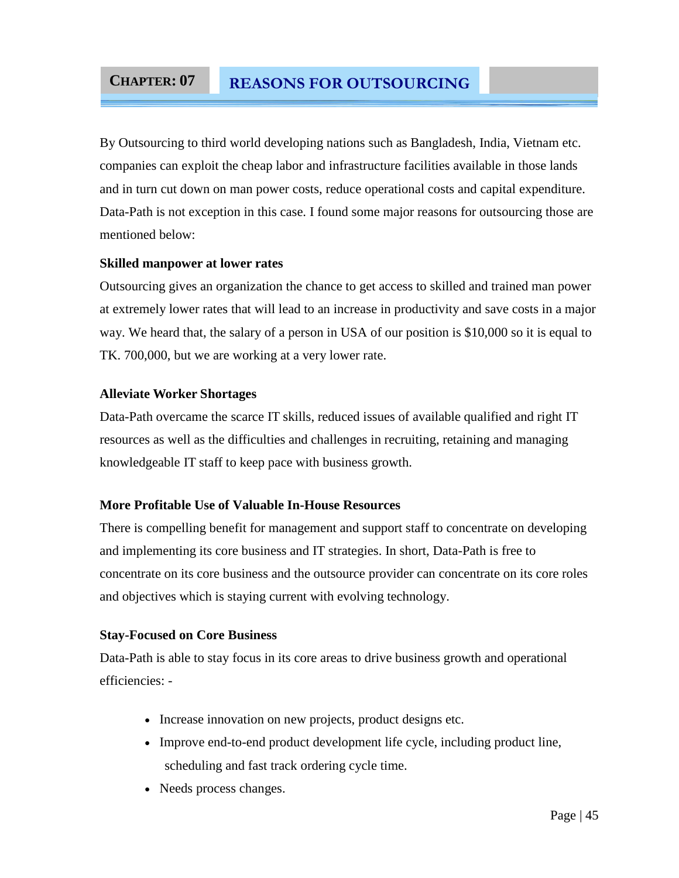### **CHAPTER: 07 REASONS FOR OUTSOURCING**

By Outsourcing to third world developing nations such as Bangladesh, India, Vietnam etc. companies can exploit the cheap labor and infrastructure facilities available in those lands and in turn cut down on man power costs, reduce operational costs and capital expenditure. Data-Path is not exception in this case. I found some major reasons for outsourcing those are mentioned below:

### **Skilled manpower at lower rates**

Outsourcing gives an organization the chance to get access to skilled and trained man power at extremely lower rates that will lead to an increase in productivity and save costs in a major way. We heard that, the salary of a person in USA of our position is \$10,000 so it is equal to TK. 700,000, but we are working at a very lower rate.

### **Alleviate Worker Shortages**

Data-Path overcame the scarce IT skills, reduced issues of available qualified and right IT resources as well as the difficulties and challenges in recruiting, retaining and managing knowledgeable IT staff to keep pace with business growth.

### **More Profitable Use of Valuable In-House Resources**

There is compelling benefit for management and support staff to concentrate on developing and implementing its core business and IT strategies. In short, Data-Path is free to concentrate on its core business and the outsource provider can concentrate on its core roles and objectives which is staying current with evolving technology.

#### **Stay-Focused on Core Business**

Data-Path is able to stay focus in its core areas to drive business growth and operational efficiencies: -

- Increase innovation on new projects, product designs etc.
- Improve end-to-end product development life cycle, including product line, scheduling and fast track ordering cycle time.
- Needs process changes.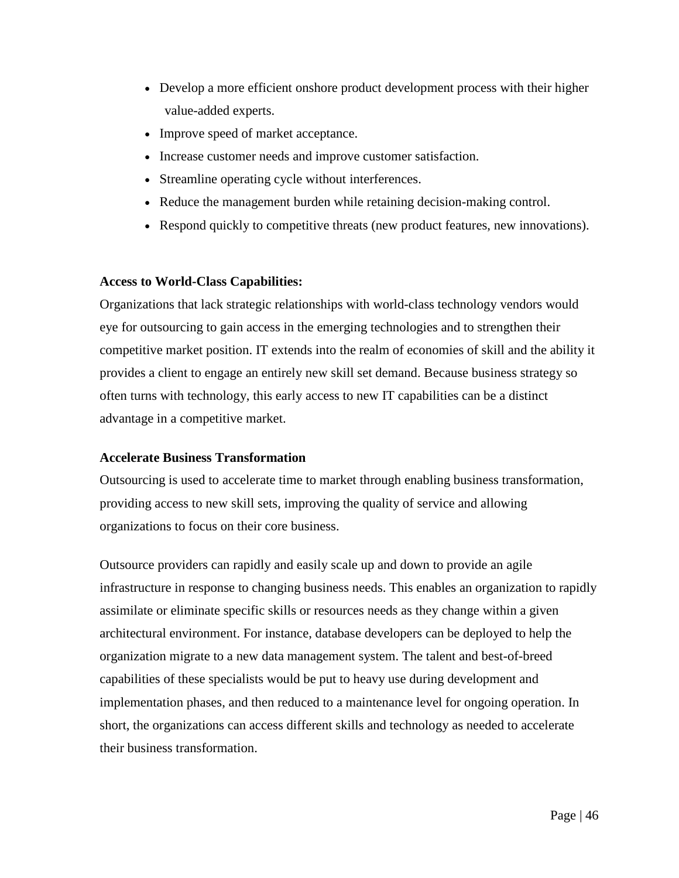- Develop a more efficient onshore product development process with their higher value-added experts.
- Improve speed of market acceptance.
- Increase customer needs and improve customer satisfaction.
- Streamline operating cycle without interferences.
- Reduce the management burden while retaining decision-making control.
- Respond quickly to competitive threats (new product features, new innovations).

### **Access to World-Class Capabilities:**

Organizations that lack strategic relationships with world-class technology vendors would eye for outsourcing to gain access in the emerging technologies and to strengthen their competitive market position. IT extends into the realm of economies of skill and the ability it provides a client to engage an entirely new skill set demand. Because business strategy so often turns with technology, this early access to new IT capabilities can be a distinct advantage in a competitive market.

### **Accelerate Business Transformation**

Outsourcing is used to accelerate time to market through enabling business transformation, providing access to new skill sets, improving the quality of service and allowing organizations to focus on their core business.

Outsource providers can rapidly and easily scale up and down to provide an agile infrastructure in response to changing business needs. This enables an organization to rapidly assimilate or eliminate specific skills or resources needs as they change within a given architectural environment. For instance, database developers can be deployed to help the organization migrate to a new data management system. The talent and best-of-breed capabilities of these specialists would be put to heavy use during development and implementation phases, and then reduced to a maintenance level for ongoing operation. In short, the organizations can access different skills and technology as needed to accelerate their business transformation.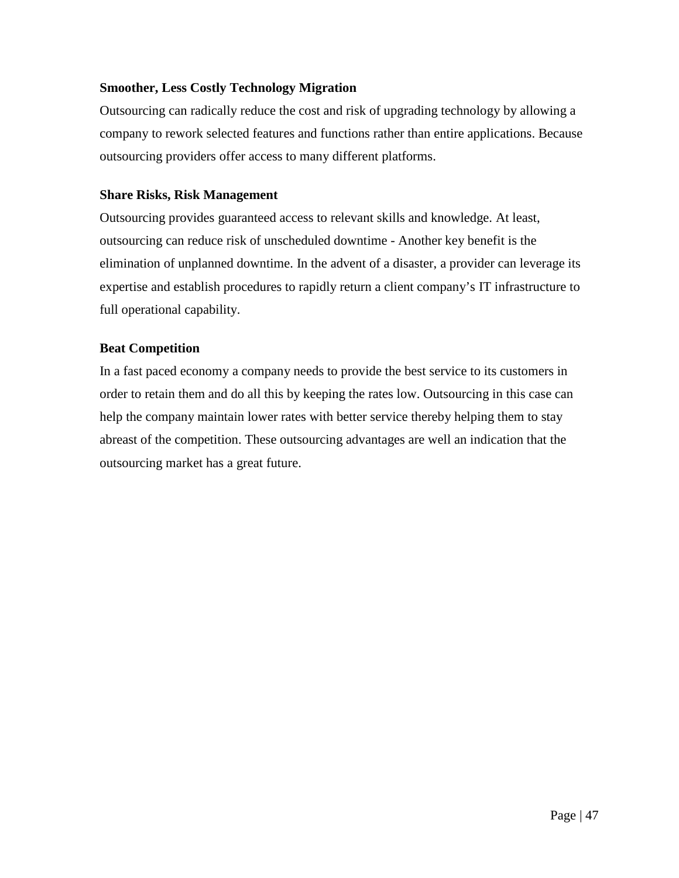### **Smoother, Less Costly Technology Migration**

Outsourcing can radically reduce the cost and risk of upgrading technology by allowing a company to rework selected features and functions rather than entire applications. Because outsourcing providers offer access to many different platforms.

### **Share Risks, Risk Management**

Outsourcing provides guaranteed access to relevant skills and knowledge. At least, outsourcing can reduce risk of unscheduled downtime - Another key benefit is the elimination of unplanned downtime. In the advent of a disaster, a provider can leverage its expertise and establish procedures to rapidly return a client company's IT infrastructure to full operational capability.

### **Beat Competition**

In a fast paced economy a company needs to provide the best service to its customers in order to retain them and do all this by keeping the rates low. Outsourcing in this case can help the company maintain lower rates with better service thereby helping them to stay abreast of the competition. These outsourcing advantages are well an indication that the outsourcing market has a great future.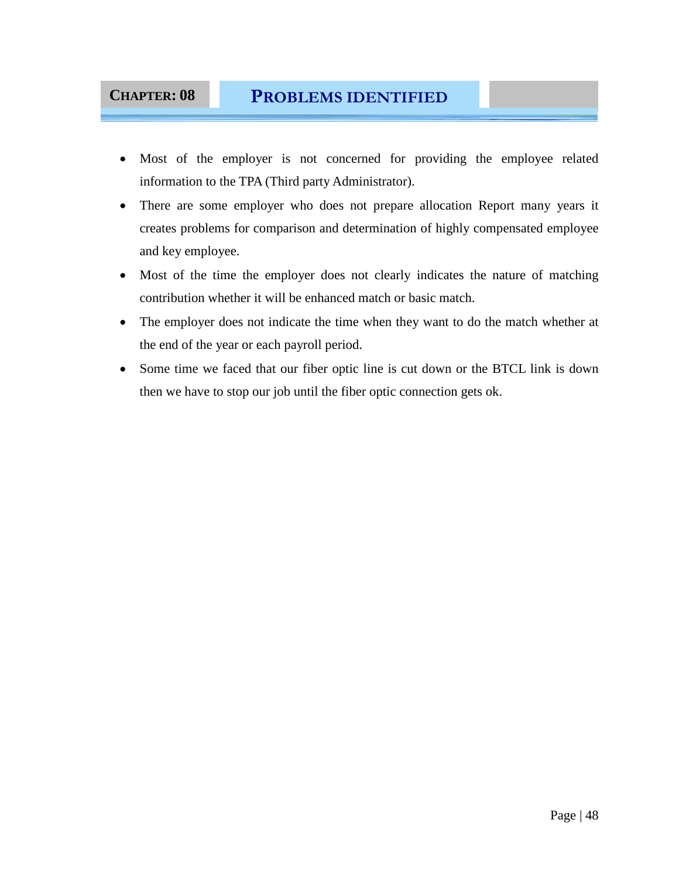### **CHAPTER: 08 PROBLEMS IDENTIFIED**

- Most of the employer is not concerned for providing the employee related information to the TPA (Third party Administrator).
- There are some employer who does not prepare allocation Report many years it creates problems for comparison and determination of highly compensated employee and key employee.
- Most of the time the employer does not clearly indicates the nature of matching contribution whether it will be enhanced match or basic match.
- The employer does not indicate the time when they want to do the match whether at the end of the year or each payroll period.
- Some time we faced that our fiber optic line is cut down or the BTCL link is down then we have to stop our job until the fiber optic connection gets ok.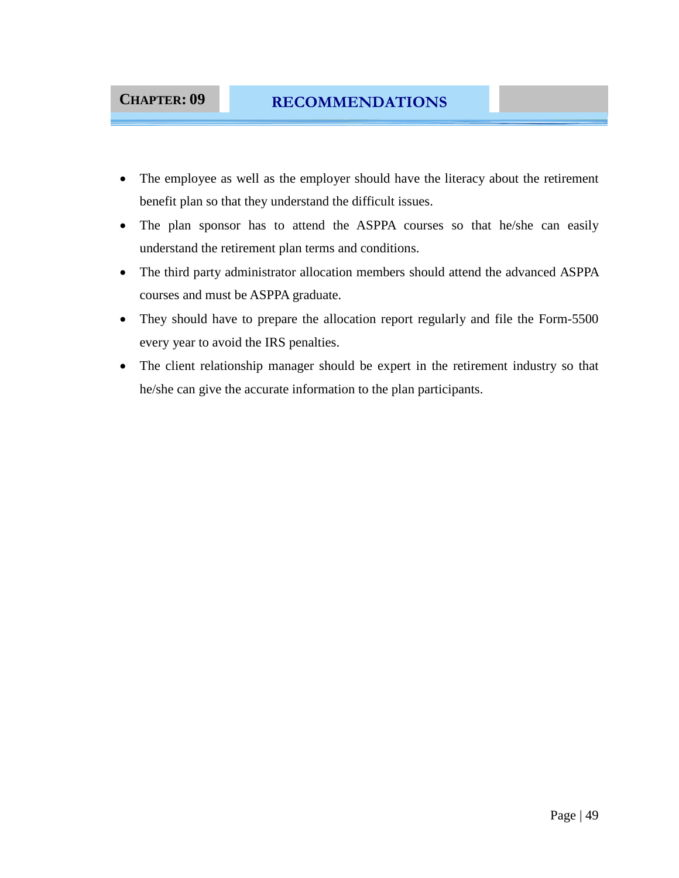### **CHAPTER: 09 RECOMMENDATIONS**

- The employee as well as the employer should have the literacy about the retirement benefit plan so that they understand the difficult issues.
- The plan sponsor has to attend the ASPPA courses so that he/she can easily understand the retirement plan terms and conditions.
- The third party administrator allocation members should attend the advanced ASPPA courses and must be ASPPA graduate.
- They should have to prepare the allocation report regularly and file the Form-5500 every year to avoid the IRS penalties.
- The client relationship manager should be expert in the retirement industry so that he/she can give the accurate information to the plan participants.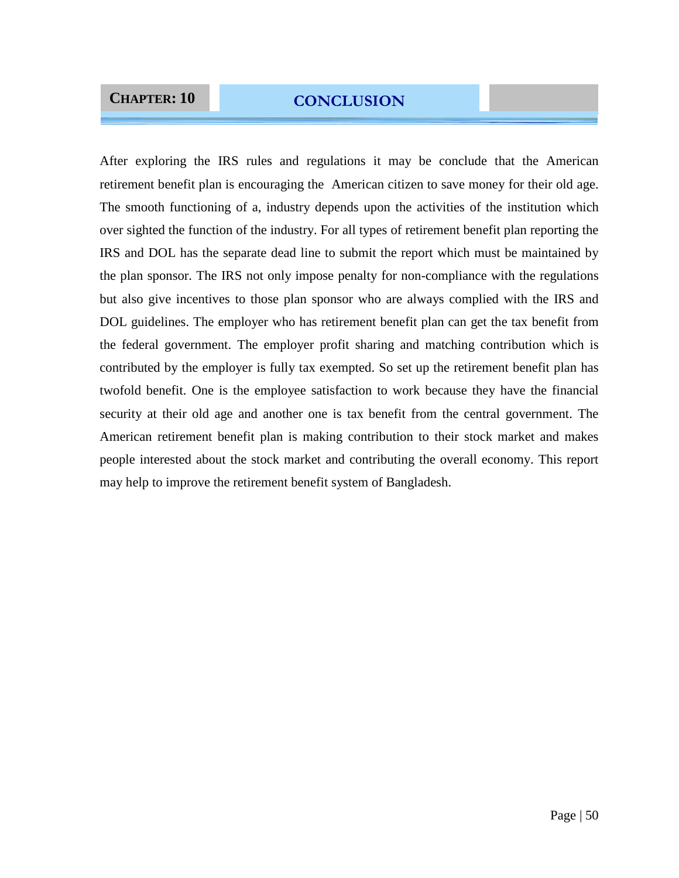## **CHAPTER: 10 CONCLUSION**

After exploring the IRS rules and regulations it may be conclude that the American retirement benefit plan is encouraging the American citizen to save money for their old age. The smooth functioning of a, industry depends upon the activities of the institution which over sighted the function of the industry. For all types of retirement benefit plan reporting the IRS and DOL has the separate dead line to submit the report which must be maintained by the plan sponsor. The IRS not only impose penalty for non-compliance with the regulations but also give incentives to those plan sponsor who are always complied with the IRS and DOL guidelines. The employer who has retirement benefit plan can get the tax benefit from the federal government. The employer profit sharing and matching contribution which is contributed by the employer is fully tax exempted. So set up the retirement benefit plan has twofold benefit. One is the employee satisfaction to work because they have the financial security at their old age and another one is tax benefit from the central government. The American retirement benefit plan is making contribution to their stock market and makes people interested about the stock market and contributing the overall economy. This report may help to improve the retirement benefit system of Bangladesh.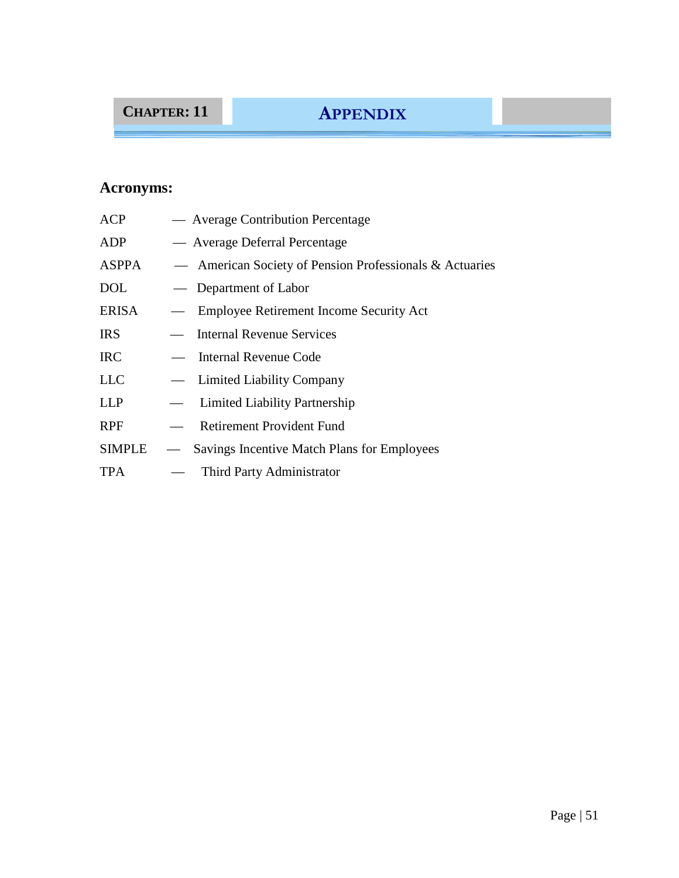# **CHAPTER: 11 APPENDIX**

## **Acronyms:**

| <b>ACP</b> | — Average Contribution Percentage                       |
|------------|---------------------------------------------------------|
| ADP        | — Average Deferral Percentage                           |
| ASPPA      | — American Society of Pension Professionals & Actuaries |
| DOL        | — Department of Labor                                   |
| ERISA      | — Employee Retirement Income Security Act               |
| IRS        | - Internal Revenue Services                             |
| <b>IRC</b> | - Internal Revenue Code                                 |
| LLC        | - Limited Liability Company                             |
| LLP        | - Limited Liability Partnership                         |
| RPF        | - Retirement Provident Fund                             |
| SIMPLE     | - Savings Incentive Match Plans for Employees           |
| TPA        | - Third Party Administrator                             |
|            |                                                         |